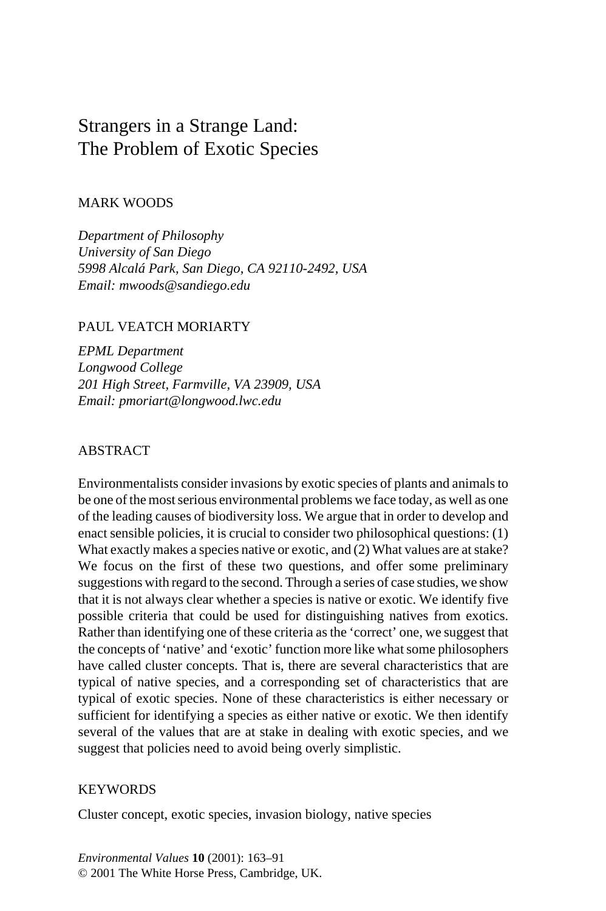# Strangers in a Strange Land: The Problem of Exotic Species

# MARK WOODS

*Department of Philosophy University of San Diego 5998 Alcalá Park, San Diego, CA 92110-2492, USA Email: mwoods@sandiego.edu*

# PAUL VEATCH MORIARTY

*EPML Department Longwood College 201 High Street, Farmville, VA 23909, USA Email: pmoriart@longwood.lwc.edu*

# **ABSTRACT**

Environmentalists consider invasions by exotic species of plants and animals to be one of the most serious environmental problems we face today, as well as one of the leading causes of biodiversity loss. We argue that in order to develop and enact sensible policies, it is crucial to consider two philosophical questions: (1) What exactly makes a species native or exotic, and (2) What values are at stake? We focus on the first of these two questions, and offer some preliminary suggestions with regard to the second. Through a series of case studies, we show that it is not always clear whether a species is native or exotic. We identify five possible criteria that could be used for distinguishing natives from exotics. Rather than identifying one of these criteria as the 'correct' one, we suggest that the concepts of 'native' and 'exotic' function more like what some philosophers have called cluster concepts. That is, there are several characteristics that are typical of native species, and a corresponding set of characteristics that are typical of exotic species. None of these characteristics is either necessary or sufficient for identifying a species as either native or exotic. We then identify several of the values that are at stake in dealing with exotic species, and we suggest that policies need to avoid being overly simplistic.

# **KEYWORDS**

Cluster concept, exotic species, invasion biology, native species

*Environmental Values* **10** (2001): 163–91 © 2001 The White Horse Press, Cambridge, UK.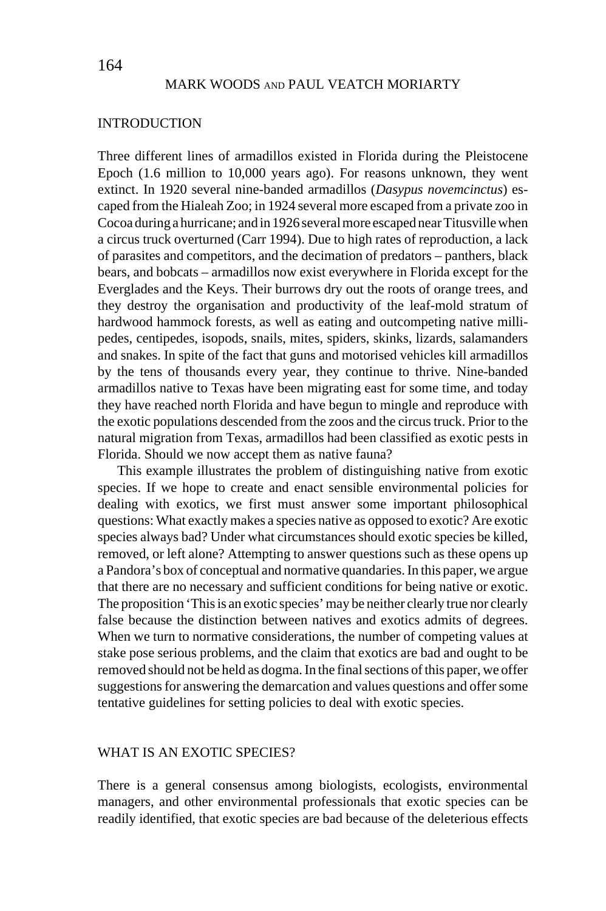## INTRODUCTION

Three different lines of armadillos existed in Florida during the Pleistocene Epoch (1.6 million to 10,000 years ago). For reasons unknown, they went extinct. In 1920 several nine-banded armadillos (*Dasypus novemcinctus*) escaped from the Hialeah Zoo; in 1924 several more escaped from a private zoo in Cocoa during a hurricane; and in 1926 several more escaped near Titusville when a circus truck overturned (Carr 1994). Due to high rates of reproduction, a lack of parasites and competitors, and the decimation of predators – panthers, black bears, and bobcats – armadillos now exist everywhere in Florida except for the Everglades and the Keys. Their burrows dry out the roots of orange trees, and they destroy the organisation and productivity of the leaf-mold stratum of hardwood hammock forests, as well as eating and outcompeting native millipedes, centipedes, isopods, snails, mites, spiders, skinks, lizards, salamanders and snakes. In spite of the fact that guns and motorised vehicles kill armadillos by the tens of thousands every year, they continue to thrive. Nine-banded armadillos native to Texas have been migrating east for some time, and today they have reached north Florida and have begun to mingle and reproduce with the exotic populations descended from the zoos and the circus truck. Prior to the natural migration from Texas, armadillos had been classified as exotic pests in Florida. Should we now accept them as native fauna?

This example illustrates the problem of distinguishing native from exotic species. If we hope to create and enact sensible environmental policies for dealing with exotics, we first must answer some important philosophical questions: What exactly makes a species native as opposed to exotic? Are exotic species always bad? Under what circumstances should exotic species be killed, removed, or left alone? Attempting to answer questions such as these opens up a Pandora's box of conceptual and normative quandaries. In this paper, we argue that there are no necessary and sufficient conditions for being native or exotic. The proposition 'This is an exotic species' may be neither clearly true nor clearly false because the distinction between natives and exotics admits of degrees. When we turn to normative considerations, the number of competing values at stake pose serious problems, and the claim that exotics are bad and ought to be removed should not be held as dogma. In the final sections of this paper, we offer suggestions for answering the demarcation and values questions and offer some tentative guidelines for setting policies to deal with exotic species.

# WHAT IS AN EXOTIC SPECIES?

There is a general consensus among biologists, ecologists, environmental managers, and other environmental professionals that exotic species can be readily identified, that exotic species are bad because of the deleterious effects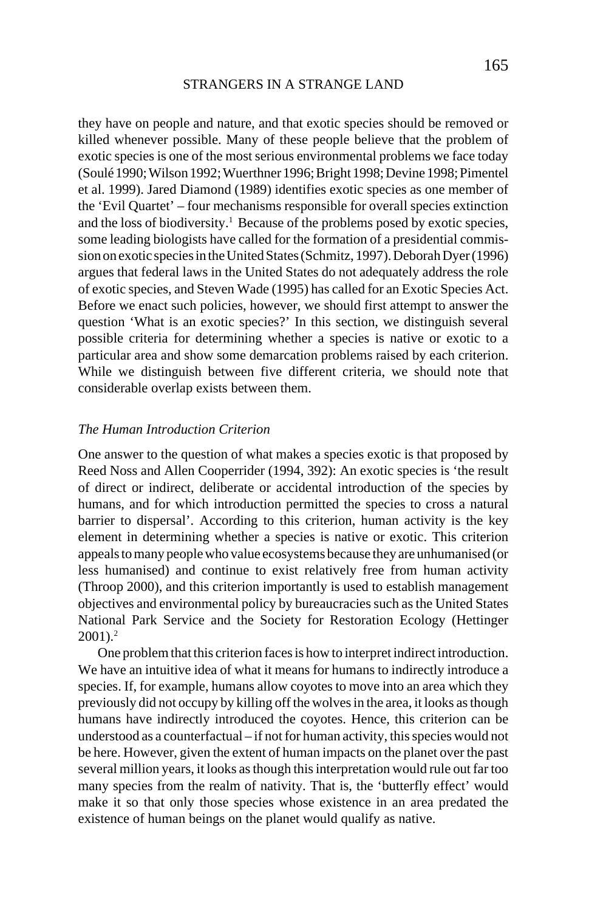they have on people and nature, and that exotic species should be removed or killed whenever possible. Many of these people believe that the problem of exotic species is one of the most serious environmental problems we face today (Soulé 1990; Wilson 1992; Wuerthner 1996; Bright 1998; Devine 1998; Pimentel et al. 1999). Jared Diamond (1989) identifies exotic species as one member of the 'Evil Quartet' – four mechanisms responsible for overall species extinction and the loss of biodiversity.<sup>1</sup> Because of the problems posed by exotic species, some leading biologists have called for the formation of a presidential commission on exotic species in the United States (Schmitz, 1997). Deborah Dyer (1996) argues that federal laws in the United States do not adequately address the role of exotic species, and Steven Wade (1995) has called for an Exotic Species Act. Before we enact such policies, however, we should first attempt to answer the question 'What is an exotic species?' In this section, we distinguish several possible criteria for determining whether a species is native or exotic to a particular area and show some demarcation problems raised by each criterion. While we distinguish between five different criteria, we should note that considerable overlap exists between them.

# *The Human Introduction Criterion*

One answer to the question of what makes a species exotic is that proposed by Reed Noss and Allen Cooperrider (1994, 392): An exotic species is 'the result of direct or indirect, deliberate or accidental introduction of the species by humans, and for which introduction permitted the species to cross a natural barrier to dispersal'. According to this criterion, human activity is the key element in determining whether a species is native or exotic. This criterion appeals to many people who value ecosystems because they are unhumanised (or less humanised) and continue to exist relatively free from human activity (Throop 2000), and this criterion importantly is used to establish management objectives and environmental policy by bureaucracies such as the United States National Park Service and the Society for Restoration Ecology (Hettinger  $2001$ ).<sup>2</sup>

One problem that this criterion faces is how to interpret indirect introduction. We have an intuitive idea of what it means for humans to indirectly introduce a species. If, for example, humans allow coyotes to move into an area which they previously did not occupy by killing off the wolves in the area, it looks as though humans have indirectly introduced the coyotes. Hence, this criterion can be understood as a counterfactual – if not for human activity, this species would not be here. However, given the extent of human impacts on the planet over the past several million years, it looks as though this interpretation would rule out far too many species from the realm of nativity. That is, the 'butterfly effect' would make it so that only those species whose existence in an area predated the existence of human beings on the planet would qualify as native.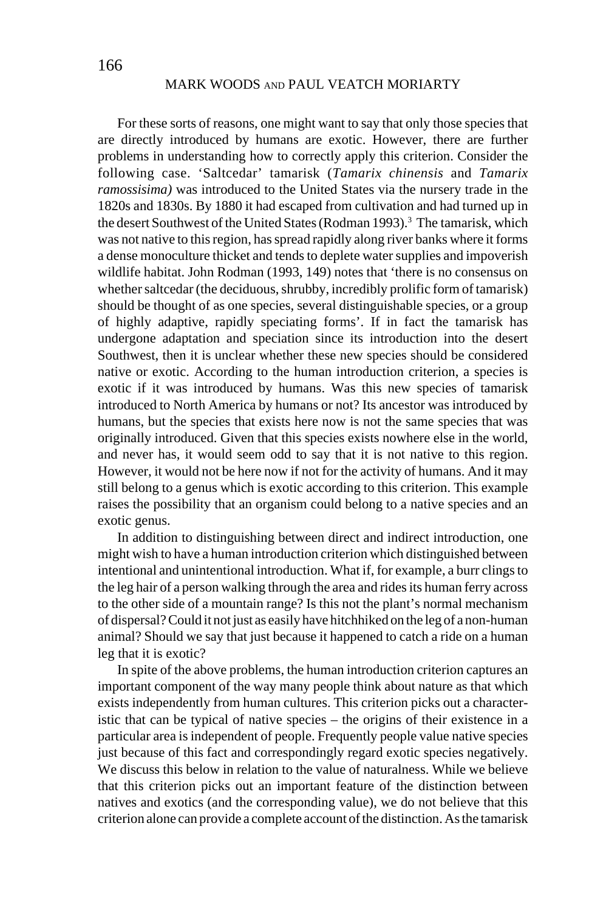For these sorts of reasons, one might want to say that only those species that are directly introduced by humans are exotic. However, there are further problems in understanding how to correctly apply this criterion. Consider the following case. 'Saltcedar' tamarisk (*Tamarix chinensis* and *Tamarix ramossisima)* was introduced to the United States via the nursery trade in the 1820s and 1830s. By 1880 it had escaped from cultivation and had turned up in the desert Southwest of the United States (Rodman 1993).<sup>3</sup> The tamarisk, which was not native to this region, has spread rapidly along river banks where it forms a dense monoculture thicket and tends to deplete water supplies and impoverish wildlife habitat. John Rodman (1993, 149) notes that 'there is no consensus on whether saltcedar (the deciduous, shrubby, incredibly prolific form of tamarisk) should be thought of as one species, several distinguishable species, or a group of highly adaptive, rapidly speciating forms'. If in fact the tamarisk has undergone adaptation and speciation since its introduction into the desert Southwest, then it is unclear whether these new species should be considered native or exotic. According to the human introduction criterion, a species is exotic if it was introduced by humans. Was this new species of tamarisk introduced to North America by humans or not? Its ancestor was introduced by humans, but the species that exists here now is not the same species that was originally introduced. Given that this species exists nowhere else in the world, and never has, it would seem odd to say that it is not native to this region. However, it would not be here now if not for the activity of humans. And it may still belong to a genus which is exotic according to this criterion. This example raises the possibility that an organism could belong to a native species and an exotic genus.

In addition to distinguishing between direct and indirect introduction, one might wish to have a human introduction criterion which distinguished between intentional and unintentional introduction. What if, for example, a burr clings to the leg hair of a person walking through the area and rides its human ferry across to the other side of a mountain range? Is this not the plant's normal mechanism of dispersal? Could it not just as easily have hitchhiked on the leg of a non-human animal? Should we say that just because it happened to catch a ride on a human leg that it is exotic?

In spite of the above problems, the human introduction criterion captures an important component of the way many people think about nature as that which exists independently from human cultures. This criterion picks out a characteristic that can be typical of native species – the origins of their existence in a particular area is independent of people. Frequently people value native species just because of this fact and correspondingly regard exotic species negatively. We discuss this below in relation to the value of naturalness. While we believe that this criterion picks out an important feature of the distinction between natives and exotics (and the corresponding value), we do not believe that this criterion alone can provide a complete account of the distinction. As the tamarisk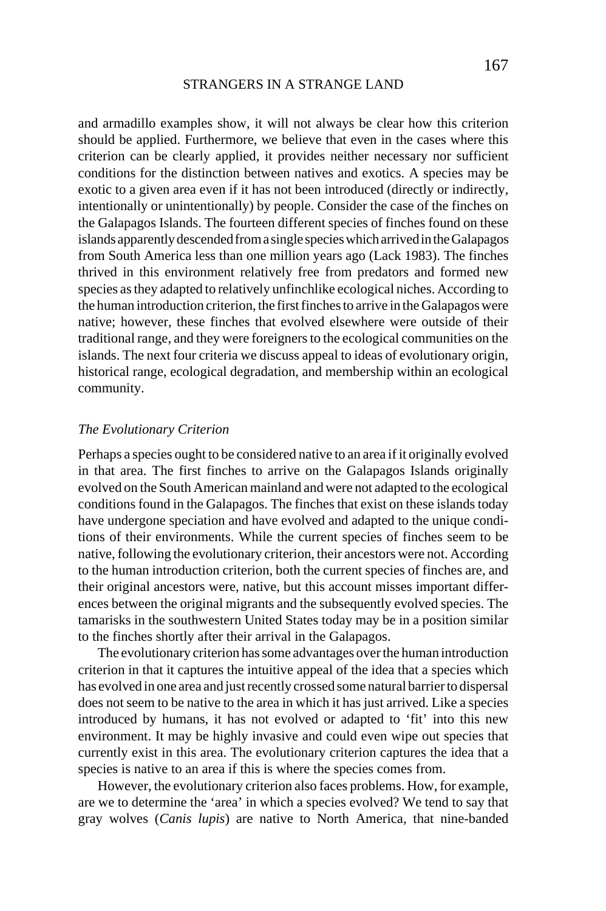and armadillo examples show, it will not always be clear how this criterion should be applied. Furthermore, we believe that even in the cases where this criterion can be clearly applied, it provides neither necessary nor sufficient conditions for the distinction between natives and exotics. A species may be exotic to a given area even if it has not been introduced (directly or indirectly, intentionally or unintentionally) by people. Consider the case of the finches on the Galapagos Islands. The fourteen different species of finches found on these islands apparently descended from a single species which arrived in the Galapagos from South America less than one million years ago (Lack 1983). The finches thrived in this environment relatively free from predators and formed new species as they adapted to relatively unfinchlike ecological niches. According to the human introduction criterion, the first finches to arrive in the Galapagos were native; however, these finches that evolved elsewhere were outside of their traditional range, and they were foreigners to the ecological communities on the islands. The next four criteria we discuss appeal to ideas of evolutionary origin, historical range, ecological degradation, and membership within an ecological community.

## *The Evolutionary Criterion*

Perhaps a species ought to be considered native to an area if it originally evolved in that area. The first finches to arrive on the Galapagos Islands originally evolved on the South American mainland and were not adapted to the ecological conditions found in the Galapagos. The finches that exist on these islands today have undergone speciation and have evolved and adapted to the unique conditions of their environments. While the current species of finches seem to be native, following the evolutionary criterion, their ancestors were not. According to the human introduction criterion, both the current species of finches are, and their original ancestors were, native, but this account misses important differences between the original migrants and the subsequently evolved species. The tamarisks in the southwestern United States today may be in a position similar to the finches shortly after their arrival in the Galapagos.

The evolutionary criterion has some advantages over the human introduction criterion in that it captures the intuitive appeal of the idea that a species which has evolved in one area and just recently crossed some natural barrier to dispersal does not seem to be native to the area in which it has just arrived. Like a species introduced by humans, it has not evolved or adapted to 'fit' into this new environment. It may be highly invasive and could even wipe out species that currently exist in this area. The evolutionary criterion captures the idea that a species is native to an area if this is where the species comes from.

However, the evolutionary criterion also faces problems. How, for example, are we to determine the 'area' in which a species evolved? We tend to say that gray wolves (*Canis lupis*) are native to North America, that nine-banded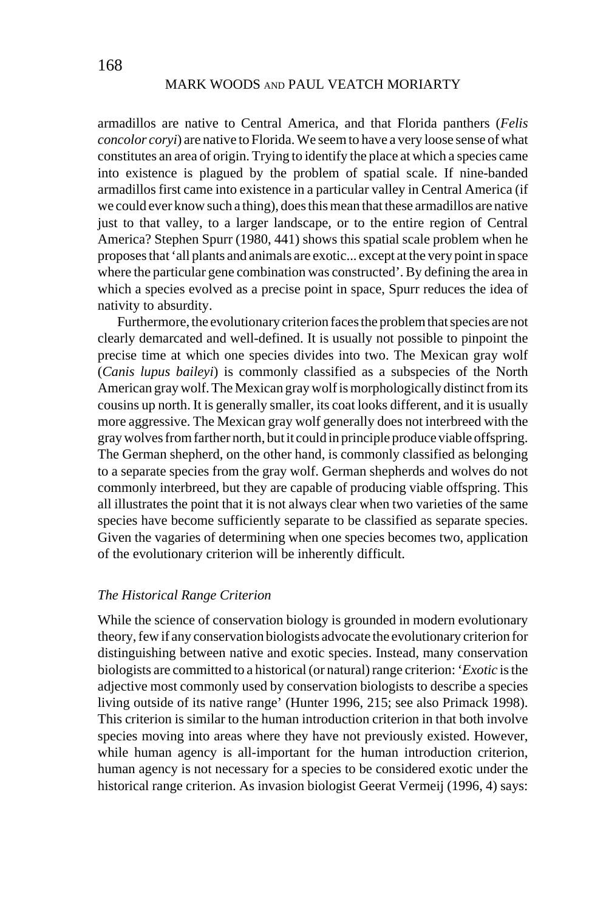armadillos are native to Central America, and that Florida panthers (*Felis concolor coryi*) are native to Florida. We seem to have a very loose sense of what constitutes an area of origin. Trying to identify the place at which a species came into existence is plagued by the problem of spatial scale. If nine-banded armadillos first came into existence in a particular valley in Central America (if we could ever know such a thing), does this mean that these armadillos are native just to that valley, to a larger landscape, or to the entire region of Central America? Stephen Spurr (1980, 441) shows this spatial scale problem when he proposes that 'all plants and animals are exotic... except at the very point in space where the particular gene combination was constructed'. By defining the area in which a species evolved as a precise point in space, Spurr reduces the idea of nativity to absurdity.

Furthermore, the evolutionary criterion faces the problem that species are not clearly demarcated and well-defined. It is usually not possible to pinpoint the precise time at which one species divides into two. The Mexican gray wolf (*Canis lupus baileyi*) is commonly classified as a subspecies of the North American gray wolf. The Mexican gray wolf is morphologically distinct from its cousins up north. It is generally smaller, its coat looks different, and it is usually more aggressive. The Mexican gray wolf generally does not interbreed with the gray wolves from farther north, but it could in principle produce viable offspring. The German shepherd, on the other hand, is commonly classified as belonging to a separate species from the gray wolf. German shepherds and wolves do not commonly interbreed, but they are capable of producing viable offspring. This all illustrates the point that it is not always clear when two varieties of the same species have become sufficiently separate to be classified as separate species. Given the vagaries of determining when one species becomes two, application of the evolutionary criterion will be inherently difficult.

## *The Historical Range Criterion*

While the science of conservation biology is grounded in modern evolutionary theory, few if any conservation biologists advocate the evolutionary criterion for distinguishing between native and exotic species. Instead, many conservation biologists are committed to a historical (or natural) range criterion: '*Exotic* is the adjective most commonly used by conservation biologists to describe a species living outside of its native range' (Hunter 1996, 215; see also Primack 1998). This criterion is similar to the human introduction criterion in that both involve species moving into areas where they have not previously existed. However, while human agency is all-important for the human introduction criterion, human agency is not necessary for a species to be considered exotic under the historical range criterion. As invasion biologist Geerat Vermeij (1996, 4) says: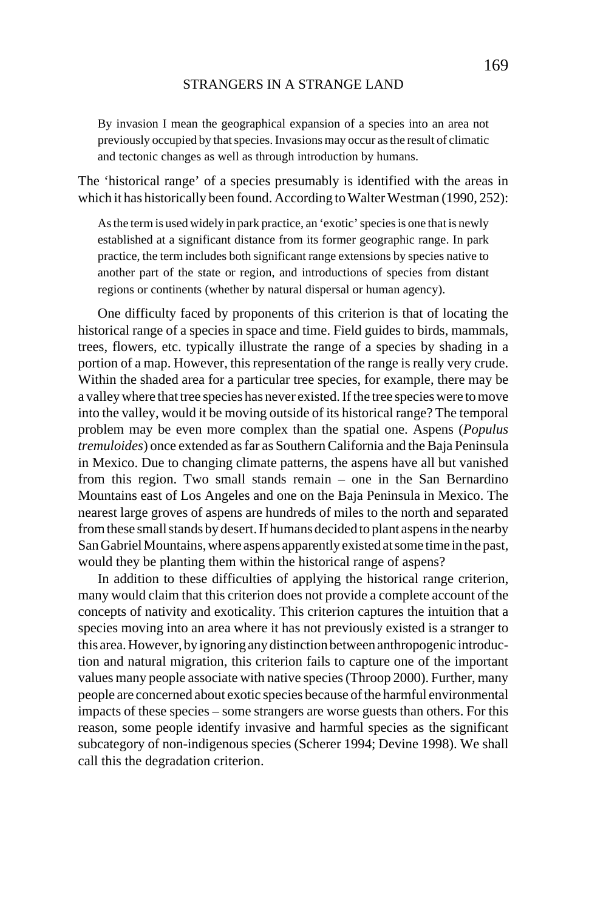By invasion I mean the geographical expansion of a species into an area not previously occupied by that species. Invasions may occur as the result of climatic and tectonic changes as well as through introduction by humans.

The 'historical range' of a species presumably is identified with the areas in which it has historically been found. According to Walter Westman (1990, 252):

As the term is used widely in park practice, an 'exotic' species is one that is newly established at a significant distance from its former geographic range. In park practice, the term includes both significant range extensions by species native to another part of the state or region, and introductions of species from distant regions or continents (whether by natural dispersal or human agency).

One difficulty faced by proponents of this criterion is that of locating the historical range of a species in space and time. Field guides to birds, mammals, trees, flowers, etc. typically illustrate the range of a species by shading in a portion of a map. However, this representation of the range is really very crude. Within the shaded area for a particular tree species, for example, there may be a valley where that tree species has never existed. If the tree species were to move into the valley, would it be moving outside of its historical range? The temporal problem may be even more complex than the spatial one. Aspens (*Populus tremuloides*) once extended as far as Southern California and the Baja Peninsula in Mexico. Due to changing climate patterns, the aspens have all but vanished from this region. Two small stands remain – one in the San Bernardino Mountains east of Los Angeles and one on the Baja Peninsula in Mexico. The nearest large groves of aspens are hundreds of miles to the north and separated from these small stands by desert. If humans decided to plant aspens in the nearby San Gabriel Mountains, where aspens apparently existed at some time in the past, would they be planting them within the historical range of aspens?

In addition to these difficulties of applying the historical range criterion, many would claim that this criterion does not provide a complete account of the concepts of nativity and exoticality. This criterion captures the intuition that a species moving into an area where it has not previously existed is a stranger to this area. However, by ignoring any distinction between anthropogenic introduction and natural migration, this criterion fails to capture one of the important values many people associate with native species (Throop 2000). Further, many people are concerned about exotic species because of the harmful environmental impacts of these species – some strangers are worse guests than others. For this reason, some people identify invasive and harmful species as the significant subcategory of non-indigenous species (Scherer 1994; Devine 1998). We shall call this the degradation criterion.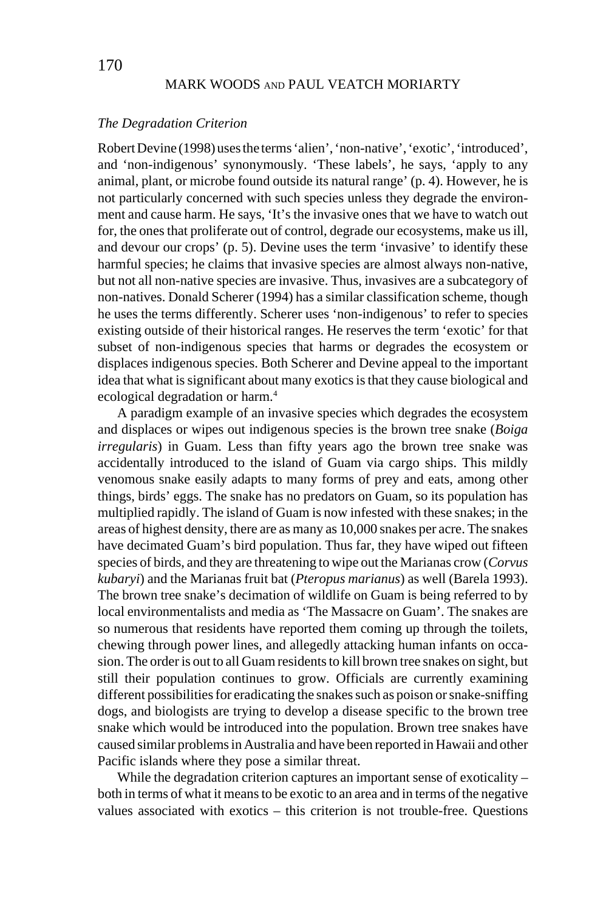## *The Degradation Criterion*

Robert Devine (1998) uses the terms 'alien', 'non-native', 'exotic', 'introduced', and 'non-indigenous' synonymously. 'These labels', he says, 'apply to any animal, plant, or microbe found outside its natural range' (p. 4). However, he is not particularly concerned with such species unless they degrade the environment and cause harm. He says, 'It's the invasive ones that we have to watch out for, the ones that proliferate out of control, degrade our ecosystems, make us ill, and devour our crops' (p. 5). Devine uses the term 'invasive' to identify these harmful species; he claims that invasive species are almost always non-native, but not all non-native species are invasive. Thus, invasives are a subcategory of non-natives. Donald Scherer (1994) has a similar classification scheme, though he uses the terms differently. Scherer uses 'non-indigenous' to refer to species existing outside of their historical ranges. He reserves the term 'exotic' for that subset of non-indigenous species that harms or degrades the ecosystem or displaces indigenous species. Both Scherer and Devine appeal to the important idea that what is significant about many exotics is that they cause biological and ecological degradation or harm.4

A paradigm example of an invasive species which degrades the ecosystem and displaces or wipes out indigenous species is the brown tree snake (*Boiga irregularis*) in Guam. Less than fifty years ago the brown tree snake was accidentally introduced to the island of Guam via cargo ships. This mildly venomous snake easily adapts to many forms of prey and eats, among other things, birds' eggs. The snake has no predators on Guam, so its population has multiplied rapidly. The island of Guam is now infested with these snakes; in the areas of highest density, there are as many as 10,000 snakes per acre. The snakes have decimated Guam's bird population. Thus far, they have wiped out fifteen species of birds, and they are threatening to wipe out the Marianas crow (*Corvus kubaryi*) and the Marianas fruit bat (*Pteropus marianus*) as well (Barela 1993). The brown tree snake's decimation of wildlife on Guam is being referred to by local environmentalists and media as 'The Massacre on Guam'. The snakes are so numerous that residents have reported them coming up through the toilets, chewing through power lines, and allegedly attacking human infants on occasion. The order is out to all Guam residents to kill brown tree snakes on sight, but still their population continues to grow. Officials are currently examining different possibilities for eradicating the snakes such as poison or snake-sniffing dogs, and biologists are trying to develop a disease specific to the brown tree snake which would be introduced into the population. Brown tree snakes have caused similar problems in Australia and have been reported in Hawaii and other Pacific islands where they pose a similar threat.

While the degradation criterion captures an important sense of exoticality – both in terms of what it means to be exotic to an area and in terms of the negative values associated with exotics – this criterion is not trouble-free. Questions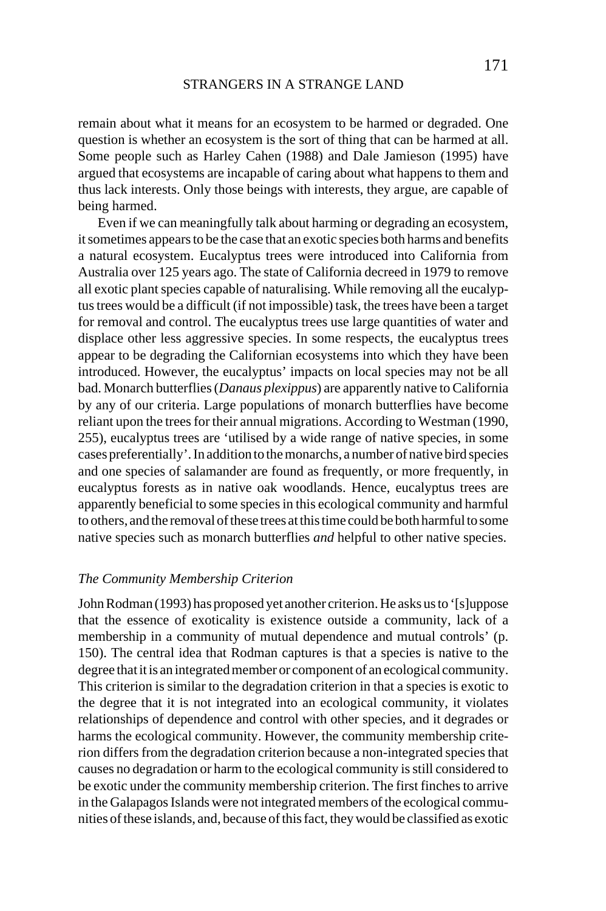remain about what it means for an ecosystem to be harmed or degraded. One question is whether an ecosystem is the sort of thing that can be harmed at all. Some people such as Harley Cahen (1988) and Dale Jamieson (1995) have argued that ecosystems are incapable of caring about what happens to them and thus lack interests. Only those beings with interests, they argue, are capable of being harmed.

Even if we can meaningfully talk about harming or degrading an ecosystem, it sometimes appears to be the case that an exotic species both harms and benefits a natural ecosystem. Eucalyptus trees were introduced into California from Australia over 125 years ago. The state of California decreed in 1979 to remove all exotic plant species capable of naturalising. While removing all the eucalyptus trees would be a difficult (if not impossible) task, the trees have been a target for removal and control. The eucalyptus trees use large quantities of water and displace other less aggressive species. In some respects, the eucalyptus trees appear to be degrading the Californian ecosystems into which they have been introduced. However, the eucalyptus' impacts on local species may not be all bad. Monarch butterflies (*Danaus plexippus*) are apparently native to California by any of our criteria. Large populations of monarch butterflies have become reliant upon the trees for their annual migrations. According to Westman (1990, 255), eucalyptus trees are 'utilised by a wide range of native species, in some cases preferentially'. In addition to the monarchs, a number of native bird species and one species of salamander are found as frequently, or more frequently, in eucalyptus forests as in native oak woodlands. Hence, eucalyptus trees are apparently beneficial to some species in this ecological community and harmful to others, and the removal of these trees at this time could be both harmful to some native species such as monarch butterflies *and* helpful to other native species.

#### *The Community Membership Criterion*

John Rodman (1993) has proposed yet another criterion. He asks us to '[s]uppose that the essence of exoticality is existence outside a community, lack of a membership in a community of mutual dependence and mutual controls' (p. 150). The central idea that Rodman captures is that a species is native to the degree that it is an integrated member or component of an ecological community. This criterion is similar to the degradation criterion in that a species is exotic to the degree that it is not integrated into an ecological community, it violates relationships of dependence and control with other species, and it degrades or harms the ecological community. However, the community membership criterion differs from the degradation criterion because a non-integrated species that causes no degradation or harm to the ecological community is still considered to be exotic under the community membership criterion. The first finches to arrive in the Galapagos Islands were not integrated members of the ecological communities of these islands, and, because of this fact, they would be classified as exotic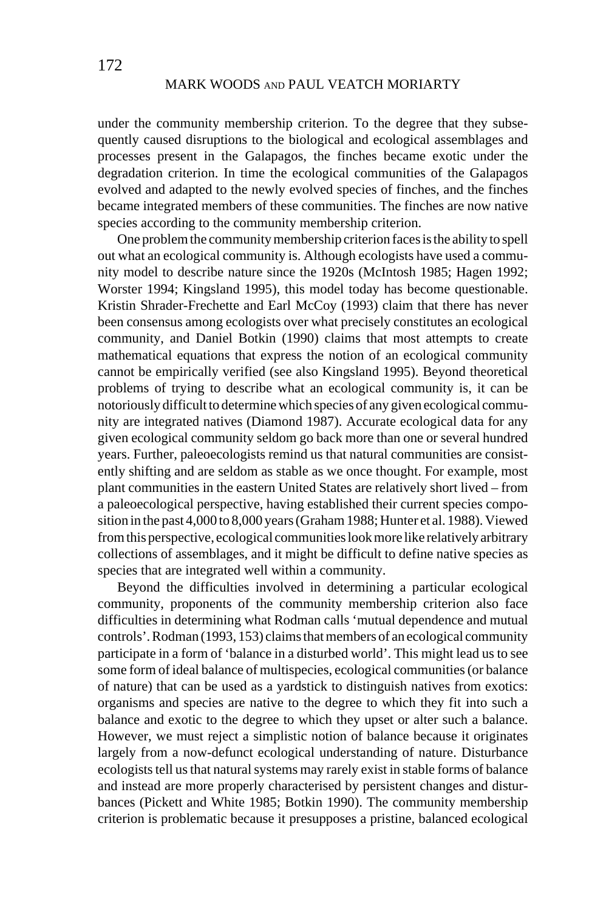under the community membership criterion. To the degree that they subsequently caused disruptions to the biological and ecological assemblages and processes present in the Galapagos, the finches became exotic under the degradation criterion. In time the ecological communities of the Galapagos evolved and adapted to the newly evolved species of finches, and the finches became integrated members of these communities. The finches are now native species according to the community membership criterion.

One problem the community membership criterion faces is the ability to spell out what an ecological community is. Although ecologists have used a community model to describe nature since the 1920s (McIntosh 1985; Hagen 1992; Worster 1994; Kingsland 1995), this model today has become questionable. Kristin Shrader-Frechette and Earl McCoy (1993) claim that there has never been consensus among ecologists over what precisely constitutes an ecological community, and Daniel Botkin (1990) claims that most attempts to create mathematical equations that express the notion of an ecological community cannot be empirically verified (see also Kingsland 1995). Beyond theoretical problems of trying to describe what an ecological community is, it can be notoriously difficult to determine which species of any given ecological community are integrated natives (Diamond 1987). Accurate ecological data for any given ecological community seldom go back more than one or several hundred years. Further, paleoecologists remind us that natural communities are consistently shifting and are seldom as stable as we once thought. For example, most plant communities in the eastern United States are relatively short lived – from a paleoecological perspective, having established their current species composition in the past 4,000 to 8,000 years (Graham 1988; Hunter et al. 1988). Viewed from this perspective, ecological communities look more like relatively arbitrary collections of assemblages, and it might be difficult to define native species as species that are integrated well within a community.

Beyond the difficulties involved in determining a particular ecological community, proponents of the community membership criterion also face difficulties in determining what Rodman calls 'mutual dependence and mutual controls'. Rodman (1993, 153) claims that members of an ecological community participate in a form of 'balance in a disturbed world'. This might lead us to see some form of ideal balance of multispecies, ecological communities (or balance of nature) that can be used as a yardstick to distinguish natives from exotics: organisms and species are native to the degree to which they fit into such a balance and exotic to the degree to which they upset or alter such a balance. However, we must reject a simplistic notion of balance because it originates largely from a now-defunct ecological understanding of nature. Disturbance ecologists tell us that natural systems may rarely exist in stable forms of balance and instead are more properly characterised by persistent changes and disturbances (Pickett and White 1985; Botkin 1990). The community membership criterion is problematic because it presupposes a pristine, balanced ecological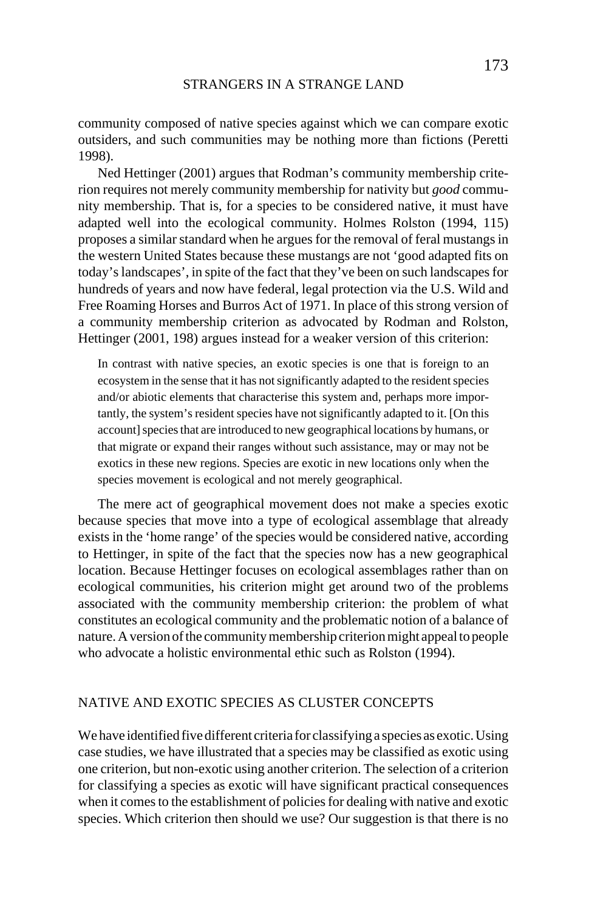community composed of native species against which we can compare exotic outsiders, and such communities may be nothing more than fictions (Peretti 1998).

Ned Hettinger (2001) argues that Rodman's community membership criterion requires not merely community membership for nativity but *good* community membership. That is, for a species to be considered native, it must have adapted well into the ecological community. Holmes Rolston (1994, 115) proposes a similar standard when he argues for the removal of feral mustangs in the western United States because these mustangs are not 'good adapted fits on today's landscapes', in spite of the fact that they've been on such landscapes for hundreds of years and now have federal, legal protection via the U.S. Wild and Free Roaming Horses and Burros Act of 1971. In place of this strong version of a community membership criterion as advocated by Rodman and Rolston, Hettinger (2001, 198) argues instead for a weaker version of this criterion:

In contrast with native species, an exotic species is one that is foreign to an ecosystem in the sense that it has not significantly adapted to the resident species and/or abiotic elements that characterise this system and, perhaps more importantly, the system's resident species have not significantly adapted to it. [On this account] species that are introduced to new geographical locations by humans, or that migrate or expand their ranges without such assistance, may or may not be exotics in these new regions. Species are exotic in new locations only when the species movement is ecological and not merely geographical.

The mere act of geographical movement does not make a species exotic because species that move into a type of ecological assemblage that already exists in the 'home range' of the species would be considered native, according to Hettinger, in spite of the fact that the species now has a new geographical location. Because Hettinger focuses on ecological assemblages rather than on ecological communities, his criterion might get around two of the problems associated with the community membership criterion: the problem of what constitutes an ecological community and the problematic notion of a balance of nature. A version of the community membership criterion might appeal to people who advocate a holistic environmental ethic such as Rolston (1994).

## NATIVE AND EXOTIC SPECIES AS CLUSTER CONCEPTS

We have identified five different criteria for classifying a species as exotic. Using case studies, we have illustrated that a species may be classified as exotic using one criterion, but non-exotic using another criterion. The selection of a criterion for classifying a species as exotic will have significant practical consequences when it comes to the establishment of policies for dealing with native and exotic species. Which criterion then should we use? Our suggestion is that there is no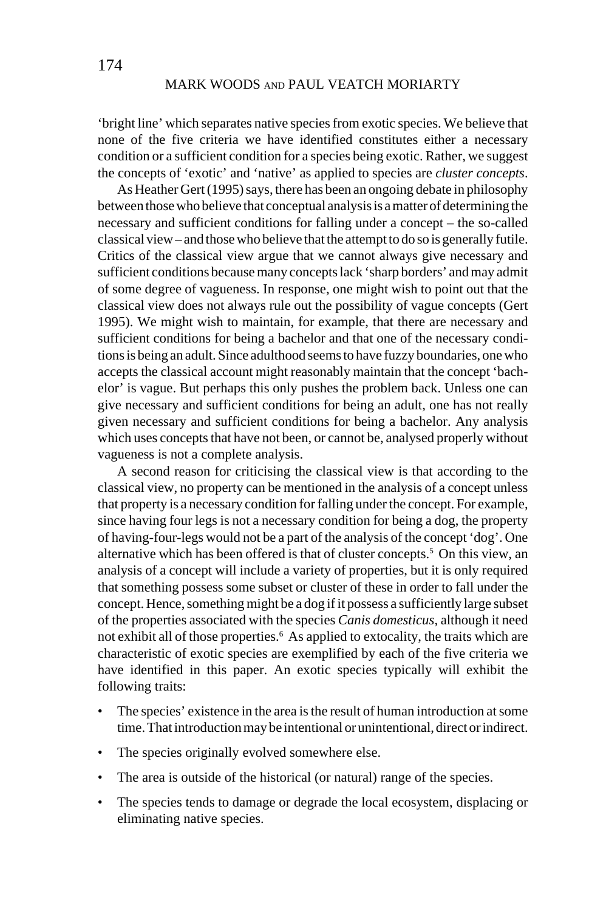'bright line' which separates native species from exotic species. We believe that none of the five criteria we have identified constitutes either a necessary condition or a sufficient condition for a species being exotic. Rather, we suggest the concepts of 'exotic' and 'native' as applied to species are *cluster concepts*.

As Heather Gert (1995) says, there has been an ongoing debate in philosophy between those who believe that conceptual analysis is a matter of determining the necessary and sufficient conditions for falling under a concept – the so-called classical view – and those who believe that the attempt to do so is generally futile. Critics of the classical view argue that we cannot always give necessary and sufficient conditions because many concepts lack 'sharp borders' and may admit of some degree of vagueness. In response, one might wish to point out that the classical view does not always rule out the possibility of vague concepts (Gert 1995). We might wish to maintain, for example, that there are necessary and sufficient conditions for being a bachelor and that one of the necessary conditions is being an adult. Since adulthood seems to have fuzzy boundaries, one who accepts the classical account might reasonably maintain that the concept 'bachelor' is vague. But perhaps this only pushes the problem back. Unless one can give necessary and sufficient conditions for being an adult, one has not really given necessary and sufficient conditions for being a bachelor. Any analysis which uses concepts that have not been, or cannot be, analysed properly without vagueness is not a complete analysis.

A second reason for criticising the classical view is that according to the classical view, no property can be mentioned in the analysis of a concept unless that property is a necessary condition for falling under the concept. For example, since having four legs is not a necessary condition for being a dog, the property of having-four-legs would not be a part of the analysis of the concept 'dog'. One alternative which has been offered is that of cluster concepts.<sup>5</sup> On this view, an analysis of a concept will include a variety of properties, but it is only required that something possess some subset or cluster of these in order to fall under the concept. Hence, something might be a dog if it possess a sufficiently large subset of the properties associated with the species *Canis domesticus*, although it need not exhibit all of those properties.<sup>6</sup> As applied to extocality, the traits which are characteristic of exotic species are exemplified by each of the five criteria we have identified in this paper. An exotic species typically will exhibit the following traits:

- The species' existence in the area is the result of human introduction at some time. That introduction may be intentional or unintentional, direct or indirect.
- The species originally evolved somewhere else.
- The area is outside of the historical (or natural) range of the species.
- The species tends to damage or degrade the local ecosystem, displacing or eliminating native species.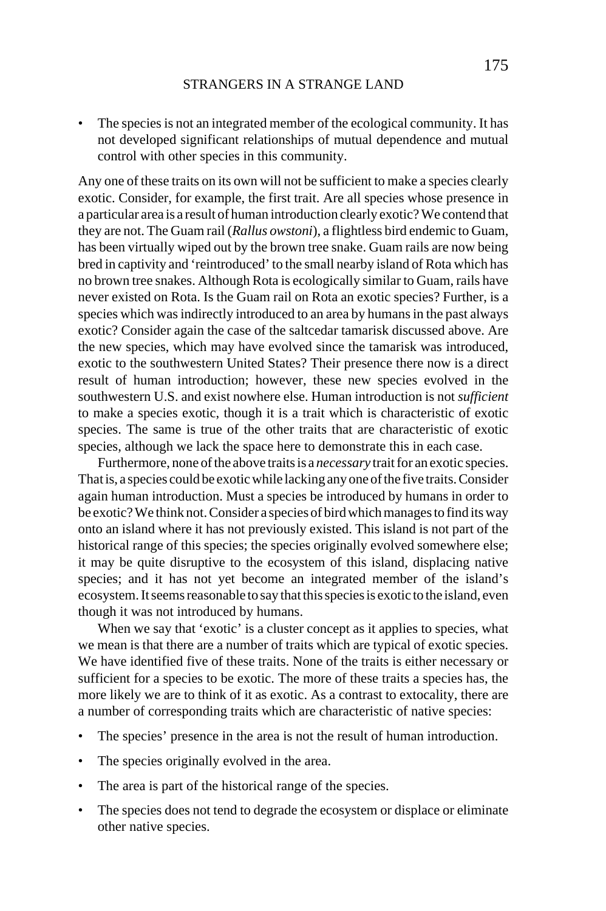The species is not an integrated member of the ecological community. It has not developed significant relationships of mutual dependence and mutual control with other species in this community.

Any one of these traits on its own will not be sufficient to make a species clearly exotic. Consider, for example, the first trait. Are all species whose presence in a particular area is a result of human introduction clearly exotic? We contend that they are not. The Guam rail (*Rallus owstoni*), a flightless bird endemic to Guam, has been virtually wiped out by the brown tree snake. Guam rails are now being bred in captivity and 'reintroduced' to the small nearby island of Rota which has no brown tree snakes. Although Rota is ecologically similar to Guam, rails have never existed on Rota. Is the Guam rail on Rota an exotic species? Further, is a species which was indirectly introduced to an area by humans in the past always exotic? Consider again the case of the saltcedar tamarisk discussed above. Are the new species, which may have evolved since the tamarisk was introduced, exotic to the southwestern United States? Their presence there now is a direct result of human introduction; however, these new species evolved in the southwestern U.S. and exist nowhere else. Human introduction is not *sufficient* to make a species exotic, though it is a trait which is characteristic of exotic species. The same is true of the other traits that are characteristic of exotic species, although we lack the space here to demonstrate this in each case.

Furthermore, none of the above traits is a *necessary* trait for an exotic species. That is, a species could be exotic while lacking any one of the five traits. Consider again human introduction. Must a species be introduced by humans in order to be exotic? We think not. Consider a species of bird which manages to find its way onto an island where it has not previously existed. This island is not part of the historical range of this species; the species originally evolved somewhere else; it may be quite disruptive to the ecosystem of this island, displacing native species; and it has not yet become an integrated member of the island's ecosystem. It seems reasonable to say that this species is exotic to the island, even though it was not introduced by humans.

When we say that 'exotic' is a cluster concept as it applies to species, what we mean is that there are a number of traits which are typical of exotic species. We have identified five of these traits. None of the traits is either necessary or sufficient for a species to be exotic. The more of these traits a species has, the more likely we are to think of it as exotic. As a contrast to extocality, there are a number of corresponding traits which are characteristic of native species:

- The species' presence in the area is not the result of human introduction.
- The species originally evolved in the area.
- The area is part of the historical range of the species.
- The species does not tend to degrade the ecosystem or displace or eliminate other native species.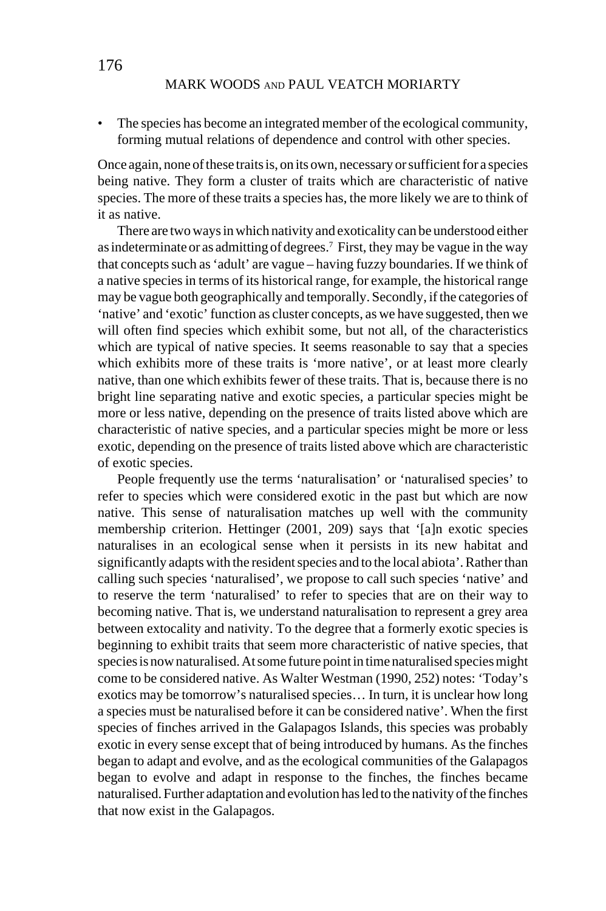The species has become an integrated member of the ecological community, forming mutual relations of dependence and control with other species.

Once again, none of these traits is, on its own, necessary or sufficient for a species being native. They form a cluster of traits which are characteristic of native species. The more of these traits a species has, the more likely we are to think of it as native.

There are two ways in which nativity and exoticality can be understood either as indeterminate or as admitting of degrees.7 First, they may be vague in the way that concepts such as 'adult' are vague – having fuzzy boundaries. If we think of a native species in terms of its historical range, for example, the historical range may be vague both geographically and temporally. Secondly, if the categories of 'native' and 'exotic' function as cluster concepts, as we have suggested, then we will often find species which exhibit some, but not all, of the characteristics which are typical of native species. It seems reasonable to say that a species which exhibits more of these traits is 'more native', or at least more clearly native, than one which exhibits fewer of these traits. That is, because there is no bright line separating native and exotic species, a particular species might be more or less native, depending on the presence of traits listed above which are characteristic of native species, and a particular species might be more or less exotic, depending on the presence of traits listed above which are characteristic of exotic species.

People frequently use the terms 'naturalisation' or 'naturalised species' to refer to species which were considered exotic in the past but which are now native. This sense of naturalisation matches up well with the community membership criterion. Hettinger (2001, 209) says that '[a]n exotic species naturalises in an ecological sense when it persists in its new habitat and significantly adapts with the resident species and to the local abiota'. Rather than calling such species 'naturalised', we propose to call such species 'native' and to reserve the term 'naturalised' to refer to species that are on their way to becoming native. That is, we understand naturalisation to represent a grey area between extocality and nativity. To the degree that a formerly exotic species is beginning to exhibit traits that seem more characteristic of native species, that species is now naturalised. At some future point in time naturalised species might come to be considered native. As Walter Westman (1990, 252) notes: 'Today's exotics may be tomorrow's naturalised species… In turn, it is unclear how long a species must be naturalised before it can be considered native'. When the first species of finches arrived in the Galapagos Islands, this species was probably exotic in every sense except that of being introduced by humans. As the finches began to adapt and evolve, and as the ecological communities of the Galapagos began to evolve and adapt in response to the finches, the finches became naturalised. Further adaptation and evolution has led to the nativity of the finches that now exist in the Galapagos.

176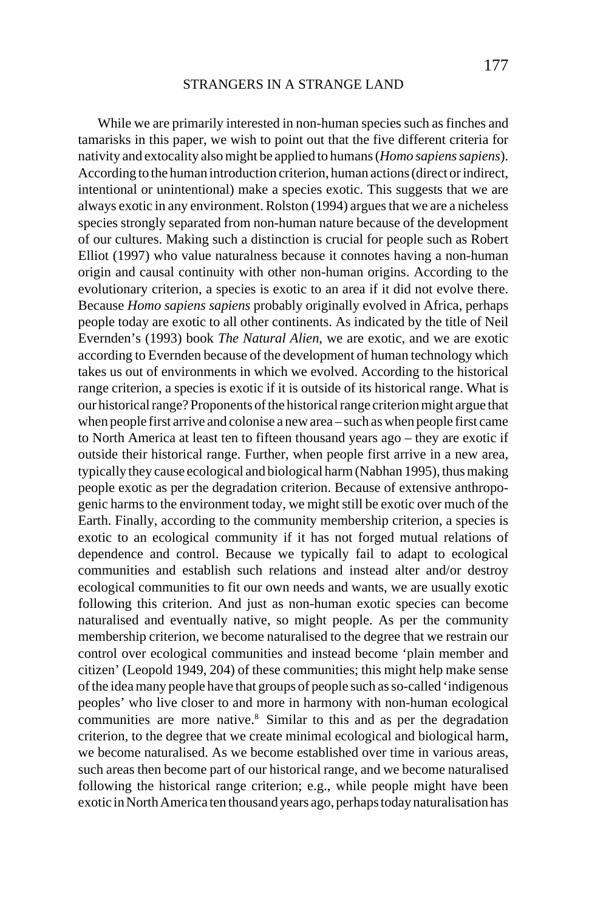While we are primarily interested in non-human species such as finches and tamarisks in this paper, we wish to point out that the five different criteria for nativity and extocality also might be applied to humans (*Homo sapiens sapiens*). According to the human introduction criterion, human actions (direct or indirect, intentional or unintentional) make a species exotic. This suggests that we are always exotic in any environment. Rolston (1994) argues that we are a nicheless species strongly separated from non-human nature because of the development of our cultures. Making such a distinction is crucial for people such as Robert Elliot (1997) who value naturalness because it connotes having a non-human origin and causal continuity with other non-human origins. According to the evolutionary criterion, a species is exotic to an area if it did not evolve there. Because *Homo sapiens sapiens* probably originally evolved in Africa, perhaps people today are exotic to all other continents. As indicated by the title of Neil Evernden's (1993) book *The Natural Alien*, we are exotic, and we are exotic according to Evernden because of the development of human technology which takes us out of environments in which we evolved. According to the historical range criterion, a species is exotic if it is outside of its historical range. What is our historical range? Proponents of the historical range criterion might argue that when people first arrive and colonise a new area – such as when people first came to North America at least ten to fifteen thousand years ago – they are exotic if outside their historical range. Further, when people first arrive in a new area, typically they cause ecological and biological harm (Nabhan 1995), thus making people exotic as per the degradation criterion. Because of extensive anthropogenic harms to the environment today, we might still be exotic over much of the Earth. Finally, according to the community membership criterion, a species is exotic to an ecological community if it has not forged mutual relations of dependence and control. Because we typically fail to adapt to ecological communities and establish such relations and instead alter and/or destroy ecological communities to fit our own needs and wants, we are usually exotic following this criterion. And just as non-human exotic species can become naturalised and eventually native, so might people. As per the community membership criterion, we become naturalised to the degree that we restrain our control over ecological communities and instead become 'plain member and citizen' (Leopold 1949, 204) of these communities; this might help make sense of the idea many people have that groups of people such as so-called 'indigenous peoples' who live closer to and more in harmony with non-human ecological communities are more native.<sup>8</sup> Similar to this and as per the degradation criterion, to the degree that we create minimal ecological and biological harm, we become naturalised. As we become established over time in various areas, such areas then become part of our historical range, and we become naturalised following the historical range criterion; e.g., while people might have been exotic in North America ten thousand years ago, perhaps today naturalisation has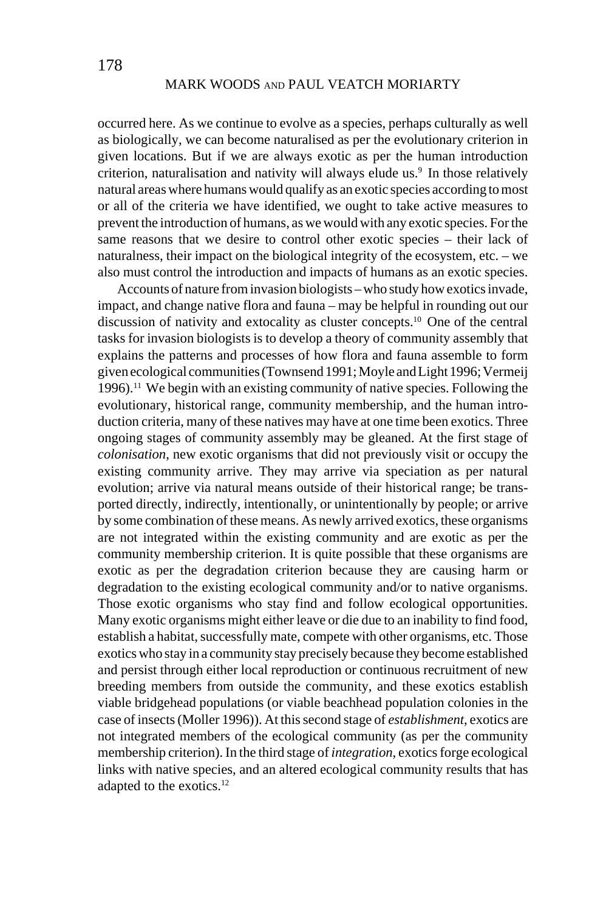occurred here. As we continue to evolve as a species, perhaps culturally as well as biologically, we can become naturalised as per the evolutionary criterion in given locations. But if we are always exotic as per the human introduction criterion, naturalisation and nativity will always elude us.<sup>9</sup> In those relatively natural areas where humans would qualify as an exotic species according to most or all of the criteria we have identified, we ought to take active measures to prevent the introduction of humans, as we would with any exotic species. For the same reasons that we desire to control other exotic species – their lack of naturalness, their impact on the biological integrity of the ecosystem, etc. – we also must control the introduction and impacts of humans as an exotic species.

Accounts of nature from invasion biologists – who study how exotics invade, impact, and change native flora and fauna – may be helpful in rounding out our discussion of nativity and extocality as cluster concepts.10 One of the central tasks for invasion biologists is to develop a theory of community assembly that explains the patterns and processes of how flora and fauna assemble to form given ecological communities (Townsend 1991; Moyle and Light 1996; Vermeij 1996).11 We begin with an existing community of native species. Following the evolutionary, historical range, community membership, and the human introduction criteria, many of these natives may have at one time been exotics. Three ongoing stages of community assembly may be gleaned. At the first stage of *colonisation*, new exotic organisms that did not previously visit or occupy the existing community arrive. They may arrive via speciation as per natural evolution; arrive via natural means outside of their historical range; be transported directly, indirectly, intentionally, or unintentionally by people; or arrive by some combination of these means. As newly arrived exotics, these organisms are not integrated within the existing community and are exotic as per the community membership criterion. It is quite possible that these organisms are exotic as per the degradation criterion because they are causing harm or degradation to the existing ecological community and/or to native organisms. Those exotic organisms who stay find and follow ecological opportunities. Many exotic organisms might either leave or die due to an inability to find food, establish a habitat, successfully mate, compete with other organisms, etc. Those exotics who stay in a community stay precisely because they become established and persist through either local reproduction or continuous recruitment of new breeding members from outside the community, and these exotics establish viable bridgehead populations (or viable beachhead population colonies in the case of insects (Moller 1996)). At this second stage of *establishment*, exotics are not integrated members of the ecological community (as per the community membership criterion). In the third stage of *integration*, exotics forge ecological links with native species, and an altered ecological community results that has adapted to the exotics.<sup>12</sup>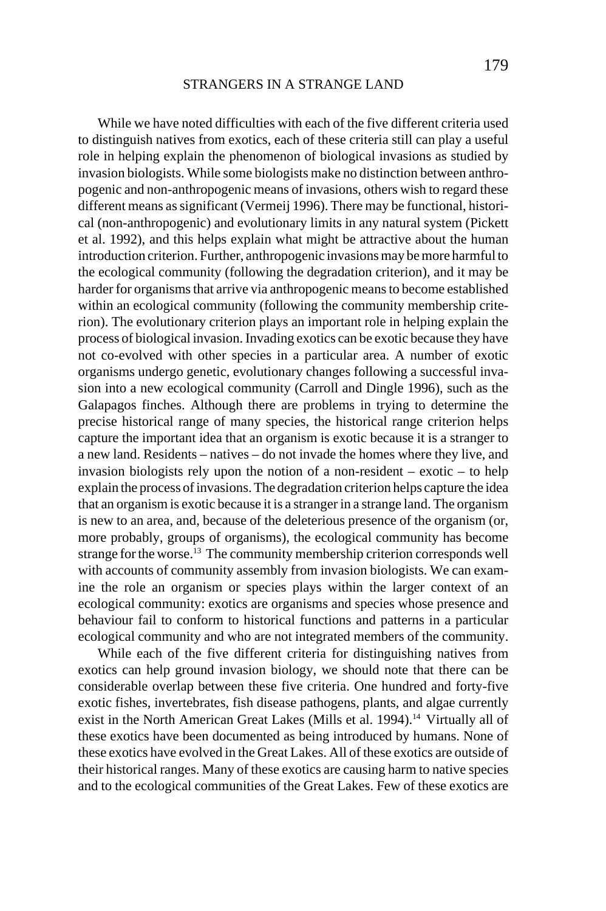While we have noted difficulties with each of the five different criteria used to distinguish natives from exotics, each of these criteria still can play a useful role in helping explain the phenomenon of biological invasions as studied by invasion biologists. While some biologists make no distinction between anthropogenic and non-anthropogenic means of invasions, others wish to regard these different means as significant (Vermeij 1996). There may be functional, historical (non-anthropogenic) and evolutionary limits in any natural system (Pickett et al. 1992), and this helps explain what might be attractive about the human introduction criterion. Further, anthropogenic invasions may be more harmful to the ecological community (following the degradation criterion), and it may be harder for organisms that arrive via anthropogenic means to become established within an ecological community (following the community membership criterion). The evolutionary criterion plays an important role in helping explain the process of biological invasion. Invading exotics can be exotic because they have not co-evolved with other species in a particular area. A number of exotic organisms undergo genetic, evolutionary changes following a successful invasion into a new ecological community (Carroll and Dingle 1996), such as the Galapagos finches. Although there are problems in trying to determine the precise historical range of many species, the historical range criterion helps capture the important idea that an organism is exotic because it is a stranger to a new land. Residents – natives – do not invade the homes where they live, and invasion biologists rely upon the notion of a non-resident – exotic – to help explain the process of invasions. The degradation criterion helps capture the idea that an organism is exotic because it is a stranger in a strange land. The organism is new to an area, and, because of the deleterious presence of the organism (or, more probably, groups of organisms), the ecological community has become strange for the worse.13 The community membership criterion corresponds well with accounts of community assembly from invasion biologists. We can examine the role an organism or species plays within the larger context of an ecological community: exotics are organisms and species whose presence and behaviour fail to conform to historical functions and patterns in a particular ecological community and who are not integrated members of the community.

While each of the five different criteria for distinguishing natives from exotics can help ground invasion biology, we should note that there can be considerable overlap between these five criteria. One hundred and forty-five exotic fishes, invertebrates, fish disease pathogens, plants, and algae currently exist in the North American Great Lakes (Mills et al. 1994).<sup>14</sup> Virtually all of these exotics have been documented as being introduced by humans. None of these exotics have evolved in the Great Lakes. All of these exotics are outside of their historical ranges. Many of these exotics are causing harm to native species and to the ecological communities of the Great Lakes. Few of these exotics are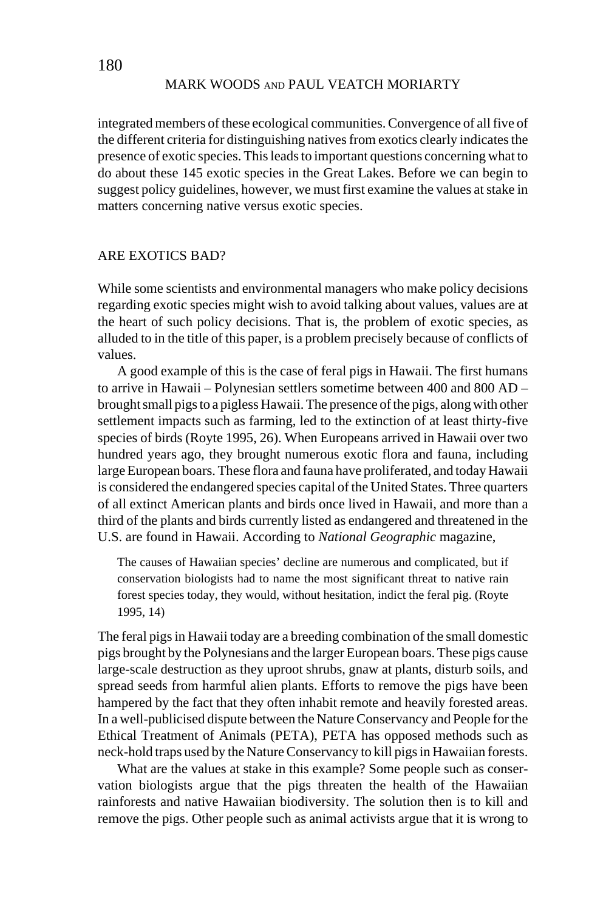integrated members of these ecological communities. Convergence of all five of the different criteria for distinguishing natives from exotics clearly indicates the presence of exotic species. This leads to important questions concerning what to do about these 145 exotic species in the Great Lakes. Before we can begin to suggest policy guidelines, however, we must first examine the values at stake in matters concerning native versus exotic species.

## ARE EXOTICS BAD?

While some scientists and environmental managers who make policy decisions regarding exotic species might wish to avoid talking about values, values are at the heart of such policy decisions. That is, the problem of exotic species, as alluded to in the title of this paper, is a problem precisely because of conflicts of values.

A good example of this is the case of feral pigs in Hawaii. The first humans to arrive in Hawaii – Polynesian settlers sometime between 400 and 800 AD – brought small pigs to a pigless Hawaii. The presence of the pigs, along with other settlement impacts such as farming, led to the extinction of at least thirty-five species of birds (Royte 1995, 26). When Europeans arrived in Hawaii over two hundred years ago, they brought numerous exotic flora and fauna, including large European boars. These flora and fauna have proliferated, and today Hawaii is considered the endangered species capital of the United States. Three quarters of all extinct American plants and birds once lived in Hawaii, and more than a third of the plants and birds currently listed as endangered and threatened in the U.S. are found in Hawaii. According to *National Geographic* magazine,

The causes of Hawaiian species' decline are numerous and complicated, but if conservation biologists had to name the most significant threat to native rain forest species today, they would, without hesitation, indict the feral pig. (Royte 1995, 14)

The feral pigs in Hawaii today are a breeding combination of the small domestic pigs brought by the Polynesians and the larger European boars. These pigs cause large-scale destruction as they uproot shrubs, gnaw at plants, disturb soils, and spread seeds from harmful alien plants. Efforts to remove the pigs have been hampered by the fact that they often inhabit remote and heavily forested areas. In a well-publicised dispute between the Nature Conservancy and People for the Ethical Treatment of Animals (PETA), PETA has opposed methods such as neck-hold traps used by the Nature Conservancy to kill pigs in Hawaiian forests.

What are the values at stake in this example? Some people such as conservation biologists argue that the pigs threaten the health of the Hawaiian rainforests and native Hawaiian biodiversity. The solution then is to kill and remove the pigs. Other people such as animal activists argue that it is wrong to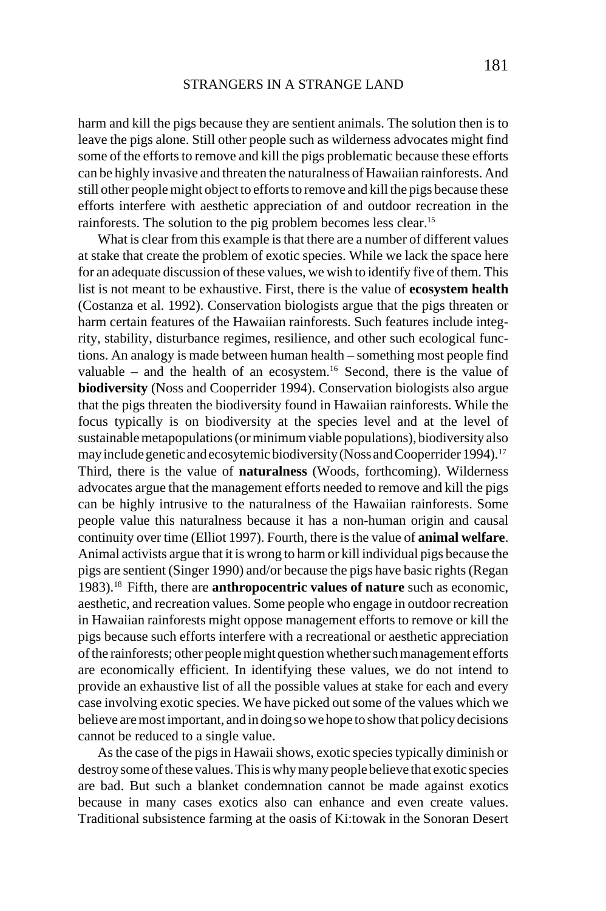harm and kill the pigs because they are sentient animals. The solution then is to leave the pigs alone. Still other people such as wilderness advocates might find some of the efforts to remove and kill the pigs problematic because these efforts can be highly invasive and threaten the naturalness of Hawaiian rainforests. And still other people might object to efforts to remove and kill the pigs because these efforts interfere with aesthetic appreciation of and outdoor recreation in the rainforests. The solution to the pig problem becomes less clear.15

What is clear from this example is that there are a number of different values at stake that create the problem of exotic species. While we lack the space here for an adequate discussion of these values, we wish to identify five of them. This list is not meant to be exhaustive. First, there is the value of **ecosystem health** (Costanza et al. 1992). Conservation biologists argue that the pigs threaten or harm certain features of the Hawaiian rainforests. Such features include integrity, stability, disturbance regimes, resilience, and other such ecological functions. An analogy is made between human health – something most people find valuable – and the health of an ecosystem.<sup>16</sup> Second, there is the value of **biodiversity** (Noss and Cooperrider 1994). Conservation biologists also argue that the pigs threaten the biodiversity found in Hawaiian rainforests. While the focus typically is on biodiversity at the species level and at the level of sustainable metapopulations (or minimum viable populations), biodiversity also may include genetic and ecosytemic biodiversity (Noss and Cooperrider 1994).<sup>17</sup> Third, there is the value of **naturalness** (Woods, forthcoming). Wilderness advocates argue that the management efforts needed to remove and kill the pigs can be highly intrusive to the naturalness of the Hawaiian rainforests. Some people value this naturalness because it has a non-human origin and causal continuity over time (Elliot 1997). Fourth, there is the value of **animal welfare**. Animal activists argue that it is wrong to harm or kill individual pigs because the pigs are sentient (Singer 1990) and/or because the pigs have basic rights (Regan 1983).18 Fifth, there are **anthropocentric values of nature** such as economic, aesthetic, and recreation values. Some people who engage in outdoor recreation in Hawaiian rainforests might oppose management efforts to remove or kill the pigs because such efforts interfere with a recreational or aesthetic appreciation of the rainforests; other people might question whether such management efforts are economically efficient. In identifying these values, we do not intend to provide an exhaustive list of all the possible values at stake for each and every case involving exotic species. We have picked out some of the values which we believe are most important, and in doing so we hope to show that policy decisions cannot be reduced to a single value.

As the case of the pigs in Hawaii shows, exotic species typically diminish or destroy some of these values. This is why many people believe that exotic species are bad. But such a blanket condemnation cannot be made against exotics because in many cases exotics also can enhance and even create values. Traditional subsistence farming at the oasis of Ki:towak in the Sonoran Desert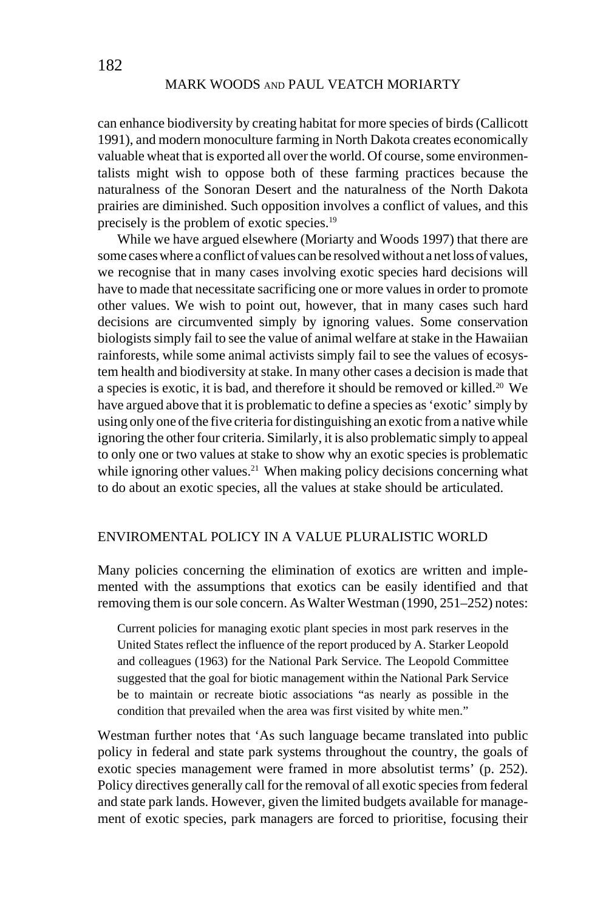can enhance biodiversity by creating habitat for more species of birds (Callicott 1991), and modern monoculture farming in North Dakota creates economically valuable wheat that is exported all over the world. Of course, some environmentalists might wish to oppose both of these farming practices because the naturalness of the Sonoran Desert and the naturalness of the North Dakota prairies are diminished. Such opposition involves a conflict of values, and this precisely is the problem of exotic species.19

While we have argued elsewhere (Moriarty and Woods 1997) that there are some cases where a conflict of values can be resolved without a net loss of values, we recognise that in many cases involving exotic species hard decisions will have to made that necessitate sacrificing one or more values in order to promote other values. We wish to point out, however, that in many cases such hard decisions are circumvented simply by ignoring values. Some conservation biologists simply fail to see the value of animal welfare at stake in the Hawaiian rainforests, while some animal activists simply fail to see the values of ecosystem health and biodiversity at stake. In many other cases a decision is made that a species is exotic, it is bad, and therefore it should be removed or killed.<sup>20</sup> We have argued above that it is problematic to define a species as 'exotic' simply by using only one of the five criteria for distinguishing an exotic from a native while ignoring the other four criteria. Similarly, it is also problematic simply to appeal to only one or two values at stake to show why an exotic species is problematic while ignoring other values.<sup>21</sup> When making policy decisions concerning what to do about an exotic species, all the values at stake should be articulated.

# ENVIROMENTAL POLICY IN A VALUE PLURALISTIC WORLD

Many policies concerning the elimination of exotics are written and implemented with the assumptions that exotics can be easily identified and that removing them is our sole concern. As Walter Westman (1990, 251–252) notes:

Current policies for managing exotic plant species in most park reserves in the United States reflect the influence of the report produced by A. Starker Leopold and colleagues (1963) for the National Park Service. The Leopold Committee suggested that the goal for biotic management within the National Park Service be to maintain or recreate biotic associations "as nearly as possible in the condition that prevailed when the area was first visited by white men."

Westman further notes that 'As such language became translated into public policy in federal and state park systems throughout the country, the goals of exotic species management were framed in more absolutist terms' (p. 252). Policy directives generally call for the removal of all exotic species from federal and state park lands. However, given the limited budgets available for management of exotic species, park managers are forced to prioritise, focusing their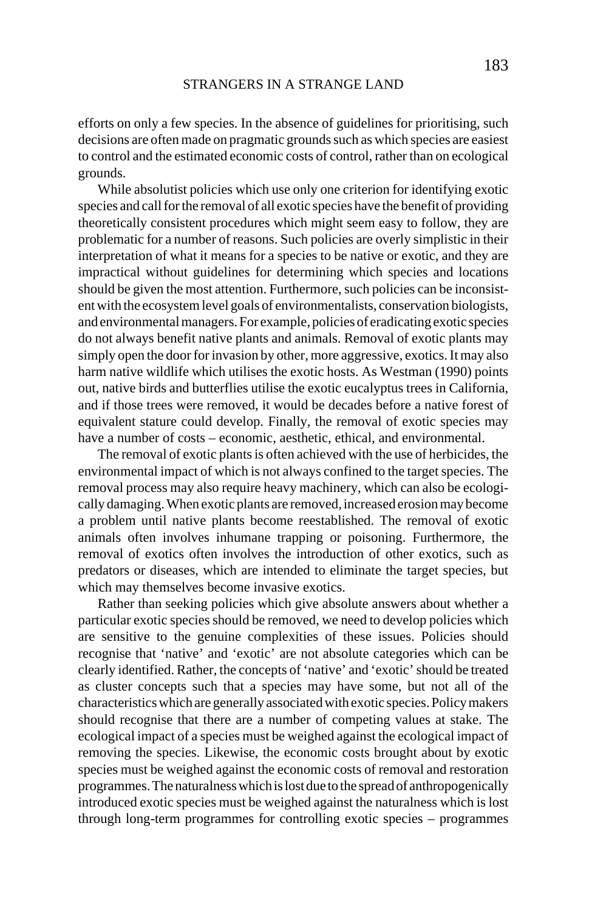efforts on only a few species. In the absence of guidelines for prioritising, such decisions are often made on pragmatic grounds such as which species are easiest to control and the estimated economic costs of control, rather than on ecological grounds.

While absolutist policies which use only one criterion for identifying exotic species and call for the removal of all exotic species have the benefit of providing theoretically consistent procedures which might seem easy to follow, they are problematic for a number of reasons. Such policies are overly simplistic in their interpretation of what it means for a species to be native or exotic, and they are impractical without guidelines for determining which species and locations should be given the most attention. Furthermore, such policies can be inconsistent with the ecosystem level goals of environmentalists, conservation biologists, and environmental managers. For example, policies of eradicating exotic species do not always benefit native plants and animals. Removal of exotic plants may simply open the door for invasion by other, more aggressive, exotics. It may also harm native wildlife which utilises the exotic hosts. As Westman (1990) points out, native birds and butterflies utilise the exotic eucalyptus trees in California, and if those trees were removed, it would be decades before a native forest of equivalent stature could develop. Finally, the removal of exotic species may have a number of costs – economic, aesthetic, ethical, and environmental.

The removal of exotic plants is often achieved with the use of herbicides, the environmental impact of which is not always confined to the target species. The removal process may also require heavy machinery, which can also be ecologically damaging. When exotic plants are removed, increased erosion may become a problem until native plants become reestablished. The removal of exotic animals often involves inhumane trapping or poisoning. Furthermore, the removal of exotics often involves the introduction of other exotics, such as predators or diseases, which are intended to eliminate the target species, but which may themselves become invasive exotics.

Rather than seeking policies which give absolute answers about whether a particular exotic species should be removed, we need to develop policies which are sensitive to the genuine complexities of these issues. Policies should recognise that 'native' and 'exotic' are not absolute categories which can be clearly identified. Rather, the concepts of 'native' and 'exotic' should be treated as cluster concepts such that a species may have some, but not all of the characteristics which are generally associated with exotic species. Policy makers should recognise that there are a number of competing values at stake. The ecological impact of a species must be weighed against the ecological impact of removing the species. Likewise, the economic costs brought about by exotic species must be weighed against the economic costs of removal and restoration programmes. The naturalness which is lost due to the spread of anthropogenically introduced exotic species must be weighed against the naturalness which is lost through long-term programmes for controlling exotic species – programmes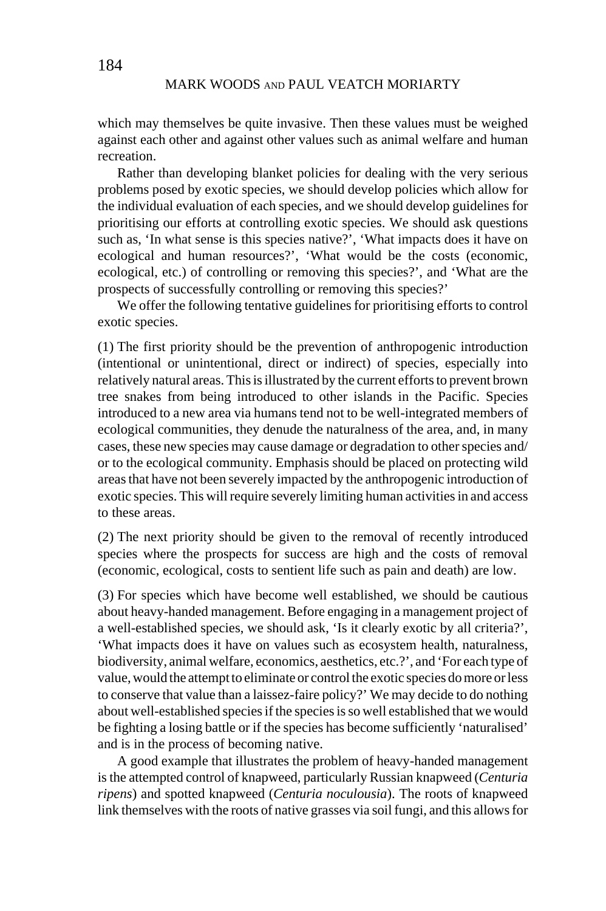which may themselves be quite invasive. Then these values must be weighed against each other and against other values such as animal welfare and human recreation.

Rather than developing blanket policies for dealing with the very serious problems posed by exotic species, we should develop policies which allow for the individual evaluation of each species, and we should develop guidelines for prioritising our efforts at controlling exotic species. We should ask questions such as, 'In what sense is this species native?', 'What impacts does it have on ecological and human resources?', 'What would be the costs (economic, ecological, etc.) of controlling or removing this species?', and 'What are the prospects of successfully controlling or removing this species?'

We offer the following tentative guidelines for prioritising efforts to control exotic species.

(1) The first priority should be the prevention of anthropogenic introduction (intentional or unintentional, direct or indirect) of species, especially into relatively natural areas. This is illustrated by the current efforts to prevent brown tree snakes from being introduced to other islands in the Pacific. Species introduced to a new area via humans tend not to be well-integrated members of ecological communities, they denude the naturalness of the area, and, in many cases, these new species may cause damage or degradation to other species and/ or to the ecological community. Emphasis should be placed on protecting wild areas that have not been severely impacted by the anthropogenic introduction of exotic species. This will require severely limiting human activities in and access to these areas.

(2) The next priority should be given to the removal of recently introduced species where the prospects for success are high and the costs of removal (economic, ecological, costs to sentient life such as pain and death) are low.

(3) For species which have become well established, we should be cautious about heavy-handed management. Before engaging in a management project of a well-established species, we should ask, 'Is it clearly exotic by all criteria?', 'What impacts does it have on values such as ecosystem health, naturalness, biodiversity, animal welfare, economics, aesthetics, etc.?', and 'For each type of value, would the attempt to eliminate or control the exotic species do more or less to conserve that value than a laissez-faire policy?' We may decide to do nothing about well-established species if the species is so well established that we would be fighting a losing battle or if the species has become sufficiently 'naturalised' and is in the process of becoming native.

A good example that illustrates the problem of heavy-handed management is the attempted control of knapweed, particularly Russian knapweed (*Centuria ripens*) and spotted knapweed (*Centuria noculousia*). The roots of knapweed link themselves with the roots of native grasses via soil fungi, and this allows for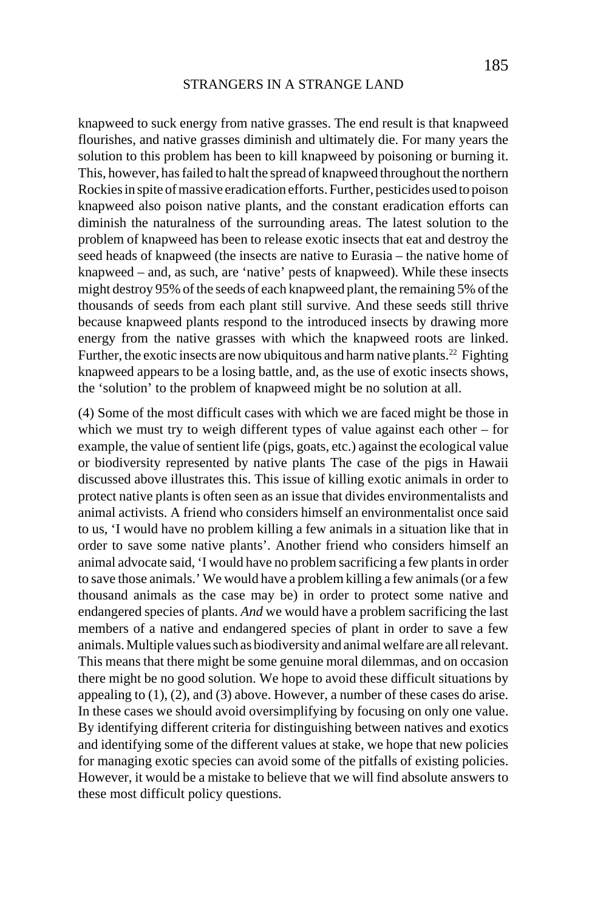knapweed to suck energy from native grasses. The end result is that knapweed flourishes, and native grasses diminish and ultimately die. For many years the solution to this problem has been to kill knapweed by poisoning or burning it. This, however, has failed to halt the spread of knapweed throughout the northern Rockies in spite of massive eradication efforts. Further, pesticides used to poison knapweed also poison native plants, and the constant eradication efforts can diminish the naturalness of the surrounding areas. The latest solution to the problem of knapweed has been to release exotic insects that eat and destroy the seed heads of knapweed (the insects are native to Eurasia – the native home of knapweed – and, as such, are 'native' pests of knapweed). While these insects might destroy 95% of the seeds of each knapweed plant, the remaining 5% of the thousands of seeds from each plant still survive. And these seeds still thrive because knapweed plants respond to the introduced insects by drawing more energy from the native grasses with which the knapweed roots are linked. Further, the exotic insects are now ubiquitous and harm native plants.<sup>22</sup> Fighting knapweed appears to be a losing battle, and, as the use of exotic insects shows, the 'solution' to the problem of knapweed might be no solution at all.

(4) Some of the most difficult cases with which we are faced might be those in which we must try to weigh different types of value against each other – for example, the value of sentient life (pigs, goats, etc.) against the ecological value or biodiversity represented by native plants The case of the pigs in Hawaii discussed above illustrates this. This issue of killing exotic animals in order to protect native plants is often seen as an issue that divides environmentalists and animal activists. A friend who considers himself an environmentalist once said to us, 'I would have no problem killing a few animals in a situation like that in order to save some native plants'. Another friend who considers himself an animal advocate said, 'I would have no problem sacrificing a few plants in order to save those animals.' We would have a problem killing a few animals (or a few thousand animals as the case may be) in order to protect some native and endangered species of plants. *And* we would have a problem sacrificing the last members of a native and endangered species of plant in order to save a few animals. Multiple values such as biodiversity and animal welfare are all relevant. This means that there might be some genuine moral dilemmas, and on occasion there might be no good solution. We hope to avoid these difficult situations by appealing to (1), (2), and (3) above. However, a number of these cases do arise. In these cases we should avoid oversimplifying by focusing on only one value. By identifying different criteria for distinguishing between natives and exotics and identifying some of the different values at stake, we hope that new policies for managing exotic species can avoid some of the pitfalls of existing policies. However, it would be a mistake to believe that we will find absolute answers to these most difficult policy questions.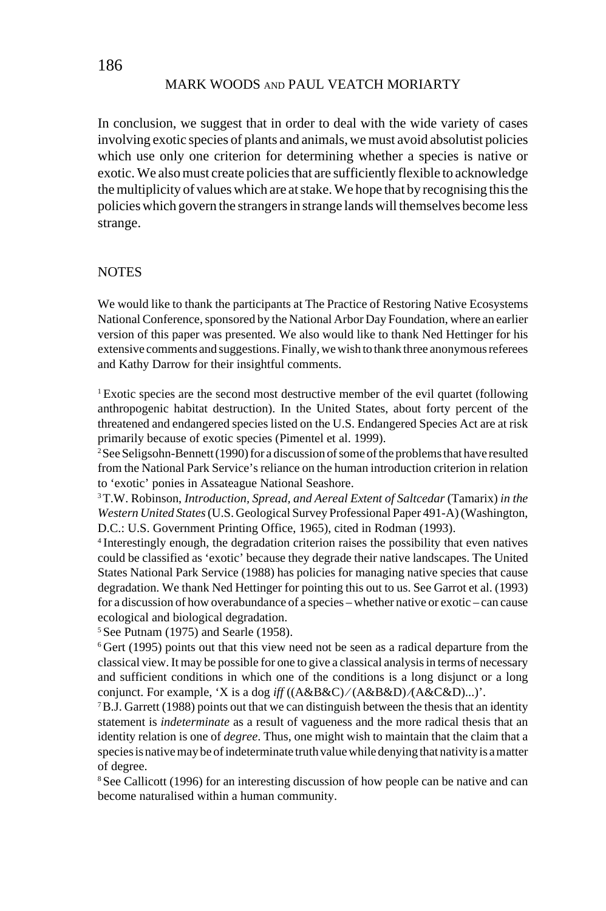In conclusion, we suggest that in order to deal with the wide variety of cases involving exotic species of plants and animals, we must avoid absolutist policies which use only one criterion for determining whether a species is native or exotic. We also must create policies that are sufficiently flexible to acknowledge the multiplicity of values which are at stake. We hope that by recognising this the policies which govern the strangers in strange lands will themselves become less strange.

#### **NOTES**

We would like to thank the participants at The Practice of Restoring Native Ecosystems National Conference, sponsored by the National Arbor Day Foundation, where an earlier version of this paper was presented. We also would like to thank Ned Hettinger for his extensive comments and suggestions. Finally, we wish to thank three anonymous referees and Kathy Darrow for their insightful comments.

<sup>1</sup> Exotic species are the second most destructive member of the evil quartet (following anthropogenic habitat destruction). In the United States, about forty percent of the threatened and endangered species listed on the U.S. Endangered Species Act are at risk primarily because of exotic species (Pimentel et al. 1999).

<sup>2</sup> See Seligsohn-Bennett (1990) for a discussion of some of the problems that have resulted from the National Park Service's reliance on the human introduction criterion in relation to 'exotic' ponies in Assateague National Seashore.

3 T.W. Robinson, *Introduction, Spread, and Aereal Extent of Saltcedar* (Tamarix) *in the Western United States* (U.S. Geological Survey Professional Paper 491-A) (Washington, D.C.: U.S. Government Printing Office, 1965), cited in Rodman (1993).

4 Interestingly enough, the degradation criterion raises the possibility that even natives could be classified as 'exotic' because they degrade their native landscapes. The United States National Park Service (1988) has policies for managing native species that cause degradation. We thank Ned Hettinger for pointing this out to us. See Garrot et al. (1993) for a discussion of how overabundance of a species – whether native or exotic – can cause ecological and biological degradation.

5 See Putnam (1975) and Searle (1958).

6 Gert (1995) points out that this view need not be seen as a radical departure from the classical view. It may be possible for one to give a classical analysis in terms of necessary and sufficient conditions in which one of the conditions is a long disjunct or a long conjunct. For example, 'X is a dog *iff* ((A&B&C) ⁄ (A&B&D) ⁄(A&C&D)...)'.

7 B.J. Garrett (1988) points out that we can distinguish between the thesis that an identity statement is *indeterminate* as a result of vagueness and the more radical thesis that an identity relation is one of *degree*. Thus, one might wish to maintain that the claim that a species is native may be of indeterminate truth value while denying that nativity is a matter of degree.

<sup>8</sup> See Callicott (1996) for an interesting discussion of how people can be native and can become naturalised within a human community.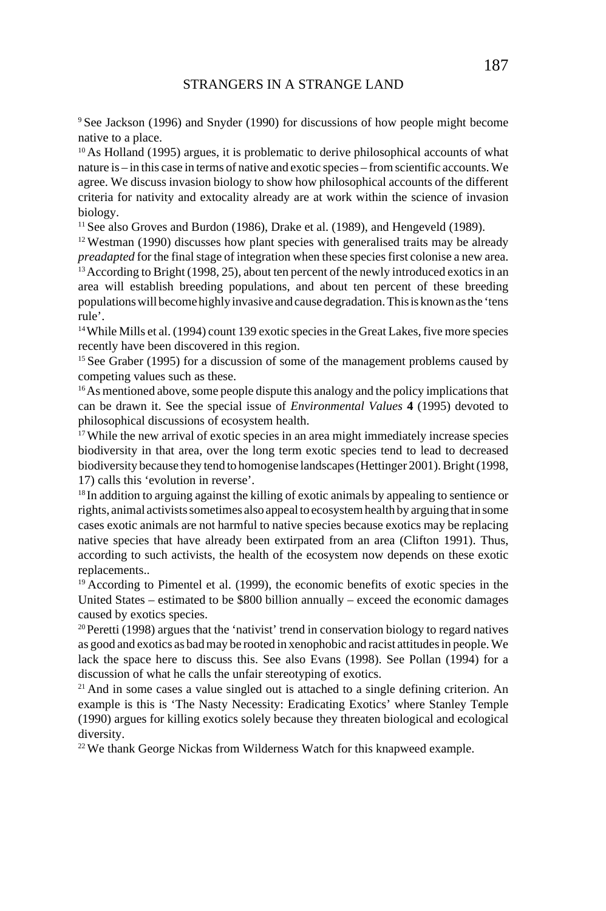9 See Jackson (1996) and Snyder (1990) for discussions of how people might become native to a place.

<sup>10</sup> As Holland (1995) argues, it is problematic to derive philosophical accounts of what nature is – in this case in terms of native and exotic species – from scientific accounts. We agree. We discuss invasion biology to show how philosophical accounts of the different criteria for nativity and extocality already are at work within the science of invasion biology.

<sup>11</sup> See also Groves and Burdon (1986), Drake et al. (1989), and Hengeveld (1989).

<sup>12</sup> Westman (1990) discusses how plant species with generalised traits may be already *preadapted* for the final stage of integration when these species first colonise a new area.  $^{13}$  According to Bright (1998, 25), about ten percent of the newly introduced exotics in an

area will establish breeding populations, and about ten percent of these breeding populations will become highly invasive and cause degradation. This is known as the 'tens rule'.

<sup>14</sup> While Mills et al. (1994) count 139 exotic species in the Great Lakes, five more species recently have been discovered in this region.

<sup>15</sup> See Graber (1995) for a discussion of some of the management problems caused by competing values such as these.

<sup>16</sup> As mentioned above, some people dispute this analogy and the policy implications that can be drawn it. See the special issue of *Environmental Values* **4** (1995) devoted to philosophical discussions of ecosystem health.

<sup>17</sup> While the new arrival of exotic species in an area might immediately increase species biodiversity in that area, over the long term exotic species tend to lead to decreased biodiversity because they tend to homogenise landscapes (Hettinger 2001). Bright (1998, 17) calls this 'evolution in reverse'.

 $18$  In addition to arguing against the killing of exotic animals by appealing to sentience or rights, animal activists sometimes also appeal to ecosystem health by arguing that in some cases exotic animals are not harmful to native species because exotics may be replacing native species that have already been extirpated from an area (Clifton 1991). Thus, according to such activists, the health of the ecosystem now depends on these exotic replacements..

<sup>19</sup> According to Pimentel et al. (1999), the economic benefits of exotic species in the United States – estimated to be \$800 billion annually – exceed the economic damages caused by exotics species.

20 Peretti (1998) argues that the 'nativist' trend in conservation biology to regard natives as good and exotics as bad may be rooted in xenophobic and racist attitudes in people. We lack the space here to discuss this. See also Evans (1998). See Pollan (1994) for a discussion of what he calls the unfair stereotyping of exotics.

<sup>21</sup> And in some cases a value singled out is attached to a single defining criterion. An example is this is 'The Nasty Necessity: Eradicating Exotics' where Stanley Temple (1990) argues for killing exotics solely because they threaten biological and ecological diversity.

 $22$  We thank George Nickas from Wilderness Watch for this knapweed example.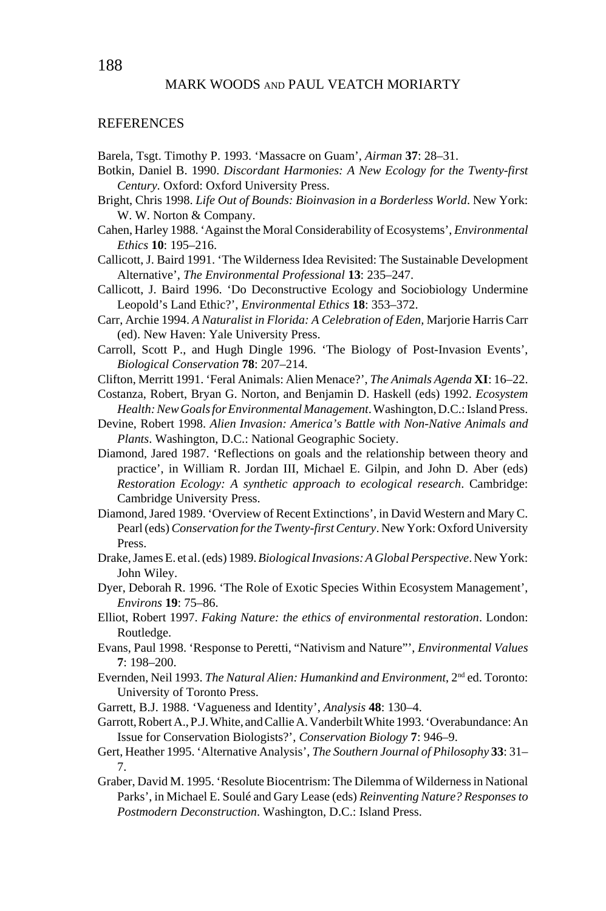## **REFERENCES**

Barela, Tsgt. Timothy P. 1993. 'Massacre on Guam', *Airman* **37**: 28–31.

- Botkin, Daniel B. 1990. *Discordant Harmonies: A New Ecology for the Twenty-first Century.* Oxford: Oxford University Press.
- Bright, Chris 1998. *Life Out of Bounds: Bioinvasion in a Borderless World*. New York: W. W. Norton & Company.
- Cahen, Harley 1988. 'Against the Moral Considerability of Ecosystems', *Environmental Ethics* **10**: 195–216.
- Callicott, J. Baird 1991. 'The Wilderness Idea Revisited: The Sustainable Development Alternative', *The Environmental Professional* **13**: 235–247.
- Callicott, J. Baird 1996. 'Do Deconstructive Ecology and Sociobiology Undermine Leopold's Land Ethic?', *Environmental Ethics* **18**: 353–372.

Carr, Archie 1994. *A Naturalist in Florida: A Celebration of Eden,* Marjorie Harris Carr (ed). New Haven: Yale University Press.

Carroll, Scott P., and Hugh Dingle 1996. 'The Biology of Post-Invasion Events', *Biological Conservation* **78**: 207–214.

- Clifton, Merritt 1991. 'Feral Animals: Alien Menace?', *The Animals Agenda* **XI**: 16–22.
- Costanza, Robert, Bryan G. Norton, and Benjamin D. Haskell (eds) 1992. *Ecosystem Health: New Goals for Environmental Management*. Washington, D.C.: Island Press.
- Devine, Robert 1998. *Alien Invasion: America's Battle with Non-Native Animals and Plants*. Washington, D.C.: National Geographic Society.
- Diamond, Jared 1987. 'Reflections on goals and the relationship between theory and practice', in William R. Jordan III, Michael E. Gilpin, and John D. Aber (eds) *Restoration Ecology: A synthetic approach to ecological research*. Cambridge: Cambridge University Press.
- Diamond, Jared 1989. 'Overview of Recent Extinctions', in David Western and Mary C. Pearl (eds) *Conservation for the Twenty-first Century*. New York: Oxford University Press.
- Drake, James E. et al. (eds) 1989. *Biological Invasions: A Global Perspective*. New York: John Wiley.
- Dyer, Deborah R. 1996. 'The Role of Exotic Species Within Ecosystem Management', *Environs* **19**: 75–86.
- Elliot, Robert 1997. *Faking Nature: the ethics of environmental restoration*. London: Routledge.
- Evans, Paul 1998. 'Response to Peretti, "Nativism and Nature"', *Environmental Values* **7**: 198–200.
- Evernden, Neil 1993. *The Natural Alien: Humankind and Environment*, 2nd ed. Toronto: University of Toronto Press.
- Garrett, B.J. 1988. 'Vagueness and Identity', *Analysis* **48**: 130–4.
- Garrott, Robert A., P.J. White, and Callie A. Vanderbilt White 1993. 'Overabundance: An Issue for Conservation Biologists?', *Conservation Biology* **7**: 946–9.
- Gert, Heather 1995. 'Alternative Analysis', *The Southern Journal of Philosophy* **33**: 31– 7.
- Graber, David M. 1995. 'Resolute Biocentrism: The Dilemma of Wilderness in National Parks', in Michael E. Soulé and Gary Lease (eds) *Reinventing Nature? Responses to Postmodern Deconstruction*. Washington, D.C.: Island Press.

188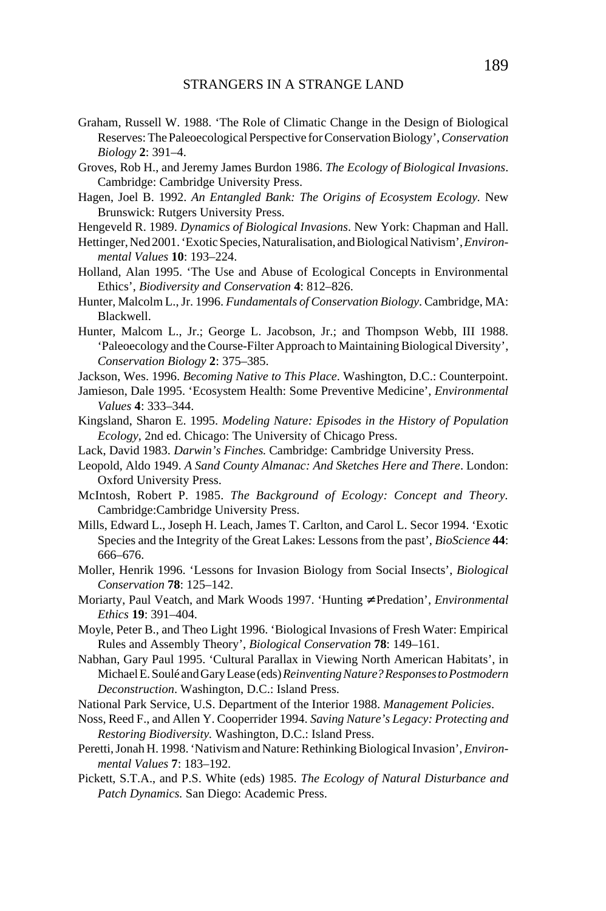- Graham, Russell W. 1988. 'The Role of Climatic Change in the Design of Biological Reserves: The Paleoecological Perspective for Conservation Biology', *Conservation Biology* **2**: 391–4.
- Groves, Rob H., and Jeremy James Burdon 1986. *The Ecology of Biological Invasions*. Cambridge: Cambridge University Press.
- Hagen, Joel B. 1992. *An Entangled Bank: The Origins of Ecosystem Ecology.* New Brunswick: Rutgers University Press.
- Hengeveld R. 1989. *Dynamics of Biological Invasions*. New York: Chapman and Hall.
- Hettinger, Ned 2001. 'Exotic Species, Naturalisation, and Biological Nativism', *Environmental Values* **10**: 193–224.
- Holland, Alan 1995. 'The Use and Abuse of Ecological Concepts in Environmental Ethics', *Biodiversity and Conservation* **4**: 812–826.
- Hunter, Malcolm L., Jr. 1996. *Fundamentals of Conservation Biology*. Cambridge, MA: Blackwell.
- Hunter, Malcom L., Jr.; George L. Jacobson, Jr.; and Thompson Webb, III 1988. 'Paleoecology and the Course-Filter Approach to Maintaining Biological Diversity', *Conservation Biology* **2**: 375–385.
- Jackson, Wes. 1996. *Becoming Native to This Place*. Washington, D.C.: Counterpoint.
- Jamieson, Dale 1995. 'Ecosystem Health: Some Preventive Medicine', *Environmental Values* **4**: 333–344.
- Kingsland, Sharon E. 1995. *Modeling Nature: Episodes in the History of Population Ecology,* 2nd ed. Chicago: The University of Chicago Press.
- Lack, David 1983. *Darwin's Finches.* Cambridge: Cambridge University Press.
- Leopold, Aldo 1949. *A Sand County Almanac: And Sketches Here and There*. London: Oxford University Press.
- McIntosh, Robert P. 1985. *The Background of Ecology: Concept and Theory.* Cambridge:Cambridge University Press.
- Mills, Edward L., Joseph H. Leach, James T. Carlton, and Carol L. Secor 1994. 'Exotic Species and the Integrity of the Great Lakes: Lessons from the past', *BioScience* **44**: 666–676.
- Moller, Henrik 1996. 'Lessons for Invasion Biology from Social Insects', *Biological Conservation* **78**: 125–142.
- Moriarty, Paul Veatch, and Mark Woods 1997. 'Hunting ≠ Predation', *Environmental Ethics* **19**: 391–404.
- Moyle, Peter B., and Theo Light 1996. 'Biological Invasions of Fresh Water: Empirical Rules and Assembly Theory', *Biological Conservation* **78**: 149–161.
- Nabhan, Gary Paul 1995. 'Cultural Parallax in Viewing North American Habitats', in Michael E. Soulé and Gary Lease (eds) *Reinventing Nature? Responses to Postmodern Deconstruction*. Washington, D.C.: Island Press.
- National Park Service, U.S. Department of the Interior 1988. *Management Policies*.
- Noss, Reed F., and Allen Y. Cooperrider 1994. *Saving Nature's Legacy: Protecting and Restoring Biodiversity.* Washington, D.C.: Island Press.
- Peretti, Jonah H. 1998. 'Nativism and Nature: Rethinking Biological Invasion', *Environmental Values* **7**: 183–192.
- Pickett, S.T.A., and P.S. White (eds) 1985. *The Ecology of Natural Disturbance and Patch Dynamics.* San Diego: Academic Press.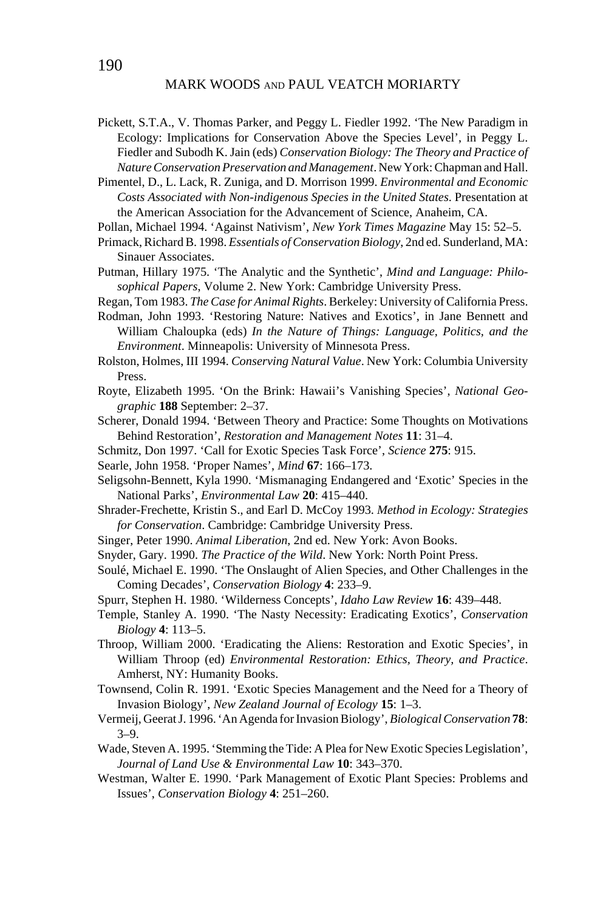- Pickett, S.T.A., V. Thomas Parker, and Peggy L. Fiedler 1992. 'The New Paradigm in Ecology: Implications for Conservation Above the Species Level', in Peggy L. Fiedler and Subodh K. Jain (eds) *Conservation Biology: The Theory and Practice of Nature Conservation Preservation and Management*. New York: Chapman and Hall.
- Pimentel, D., L. Lack, R. Zuniga, and D. Morrison 1999. *Environmental and Economic Costs Associated with Non-indigenous Species in the United States*. Presentation at the American Association for the Advancement of Science, Anaheim, CA.
- Pollan, Michael 1994. 'Against Nativism', *New York Times Magazine* May 15: 52–5.
- Primack, Richard B. 1998. *Essentials of Conservation Biology*, 2nd ed. Sunderland, MA: Sinauer Associates.
- Putman, Hillary 1975. 'The Analytic and the Synthetic', *Mind and Language: Philosophical Papers*, Volume 2. New York: Cambridge University Press.
- Regan, Tom 1983. *The Case for Animal Rights*. Berkeley: University of California Press.
- Rodman, John 1993. 'Restoring Nature: Natives and Exotics', in Jane Bennett and William Chaloupka (eds) *In the Nature of Things: Language, Politics, and the Environment*. Minneapolis: University of Minnesota Press.
- Rolston, Holmes, III 1994. *Conserving Natural Value*. New York: Columbia University Press.
- Royte, Elizabeth 1995. 'On the Brink: Hawaii's Vanishing Species', *National Geographic* **188** September: 2–37.
- Scherer, Donald 1994. 'Between Theory and Practice: Some Thoughts on Motivations Behind Restoration', *Restoration and Management Notes* **11**: 31–4.
- Schmitz, Don 1997. 'Call for Exotic Species Task Force', *Science* **275**: 915.
- Searle, John 1958. 'Proper Names', *Mind* **67**: 166–173.
- Seligsohn-Bennett, Kyla 1990. 'Mismanaging Endangered and 'Exotic' Species in the National Parks', *Environmental Law* **20**: 415–440.
- Shrader-Frechette, Kristin S., and Earl D. McCoy 1993. *Method in Ecology: Strategies for Conservation*. Cambridge: Cambridge University Press.
- Singer, Peter 1990. *Animal Liberation*, 2nd ed. New York: Avon Books.
- Snyder, Gary. 1990. *The Practice of the Wild*. New York: North Point Press.
- Soulé, Michael E. 1990. 'The Onslaught of Alien Species, and Other Challenges in the Coming Decades', *Conservation Biology* **4**: 233–9.
- Spurr, Stephen H. 1980. 'Wilderness Concepts', *Idaho Law Review* **16**: 439–448.
- Temple, Stanley A. 1990. 'The Nasty Necessity: Eradicating Exotics', *Conservation Biology* **4**: 113–5.
- Throop, William 2000. 'Eradicating the Aliens: Restoration and Exotic Species', in William Throop (ed) *Environmental Restoration: Ethics, Theory, and Practice*. Amherst, NY: Humanity Books.
- Townsend, Colin R. 1991. 'Exotic Species Management and the Need for a Theory of Invasion Biology', *New Zealand Journal of Ecology* **15**: 1–3.
- Vermeij, Geerat J. 1996. 'An Agenda for Invasion Biology', *Biological Conservation* **78**: 3–9.
- Wade, Steven A. 1995. 'Stemming the Tide: A Plea for New Exotic Species Legislation', *Journal of Land Use & Environmental Law* **10**: 343–370.
- Westman, Walter E. 1990. 'Park Management of Exotic Plant Species: Problems and Issues', *Conservation Biology* **4**: 251–260.